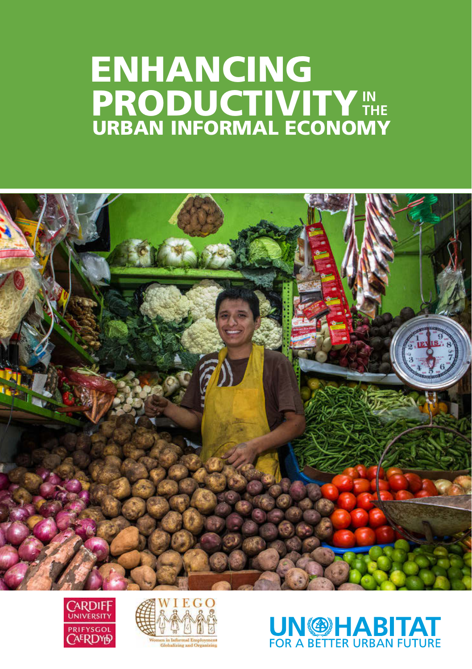### **IN THE** ENHANCING PRODUCTIVITY URBAN INFORMAL ECONOMY







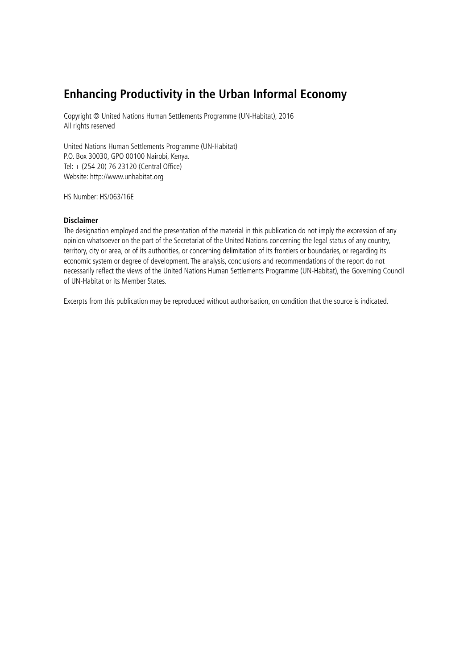### **Enhancing Productivity in the Urban Informal Economy**

Copyright © United Nations Human Settlements Programme (UN-Habitat), 2016 All rights reserved

United Nations Human Settlements Programme (UN-Habitat) P.O. Box 30030, GPO 00100 Nairobi, Kenya. Tel: + (254 20) 76 23120 (Central Office) Website: http://www.unhabitat.org

HS Number: HS/063/16E

### **Disclaimer**

The designation employed and the presentation of the material in this publication do not imply the expression of any opinion whatsoever on the part of the Secretariat of the United Nations concerning the legal status of any country, territory, city or area, or of its authorities, or concerning delimitation of its frontiers or boundaries, or regarding its economic system or degree of development. The analysis, conclusions and recommendations of the report do not necessarily reflect the views of the United Nations Human Settlements Programme (UN-Habitat), the Governing Council of UN-Habitat or its Member States.

Excerpts from this publication may be reproduced without authorisation, on condition that the source is indicated.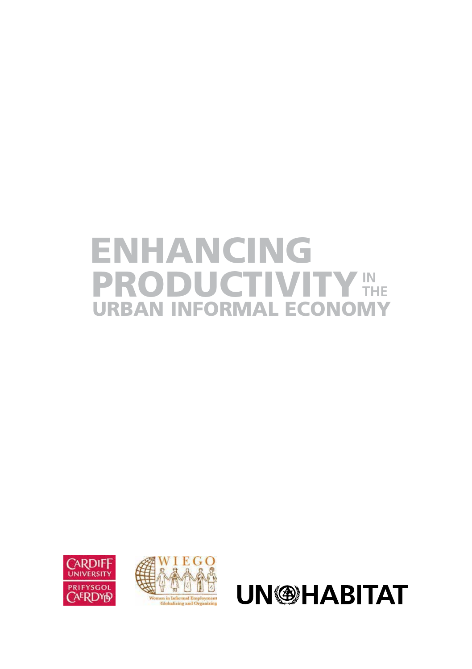### **IN** PRODUCTIVITY<sup>IN</sup> ENHANCING URBAN INFORMAL ECONOMY





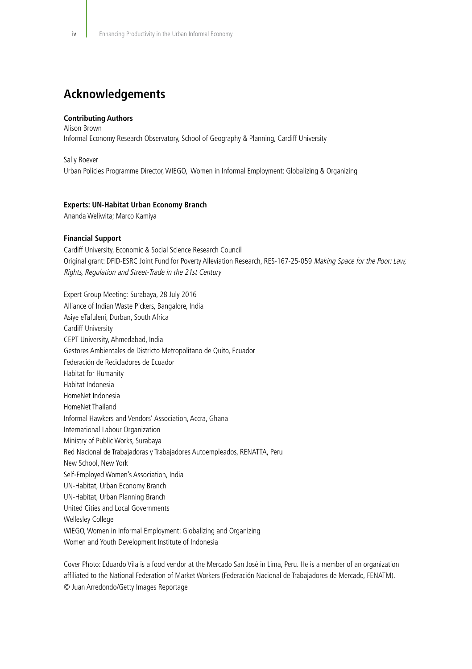### **Acknowledgements**

### **Contributing Authors**

Alison Brown Informal Economy Research Observatory, School of Geography & Planning, Cardiff University

Sally Roever Urban Policies Programme Director, WIEGO, Women in Informal Employment: Globalizing & Organizing

### **Experts: UN-Habitat Urban Economy Branch**

Ananda Weliwita; Marco Kamiya

### **Financial Support**

Cardiff University, Economic & Social Science Research Council Original grant: DFID-ESRC Joint Fund for Poverty Alleviation Research, RES-167-25-059 Making Space for the Poor: Law, Rights, Regulation and Street-Trade in the 21st Century

Expert Group Meeting: Surabaya, 28 July 2016 Alliance of Indian Waste Pickers, Bangalore, India Asiye eTafuleni, Durban, South Africa Cardiff University CEPT University, Ahmedabad, India Gestores Ambientales de Districto Metropolitano de Quito, Ecuador Federación de Recicladores de Ecuador Habitat for Humanity Habitat Indonesia HomeNet Indonesia HomeNet Thailand Informal Hawkers and Vendors' Association, Accra, Ghana International Labour Organization Ministry of Public Works, Surabaya Red Nacional de Trabajadoras y Trabajadores Autoempleados, RENATTA, Peru New School, New York Self-Employed Women's Association, India UN-Habitat, Urban Economy Branch UN-Habitat, Urban Planning Branch United Cities and Local Governments Wellesley College WIEGO, Women in Informal Employment: Globalizing and Organizing Women and Youth Development Institute of Indonesia

Cover Photo: Eduardo Vila is a food vendor at the Mercado San José in Lima, Peru. He is a member of an organization affiliated to the National Federation of Market Workers (Federación Nacional de Trabajadores de Mercado, FENATM). © Juan Arredondo/Getty Images Reportage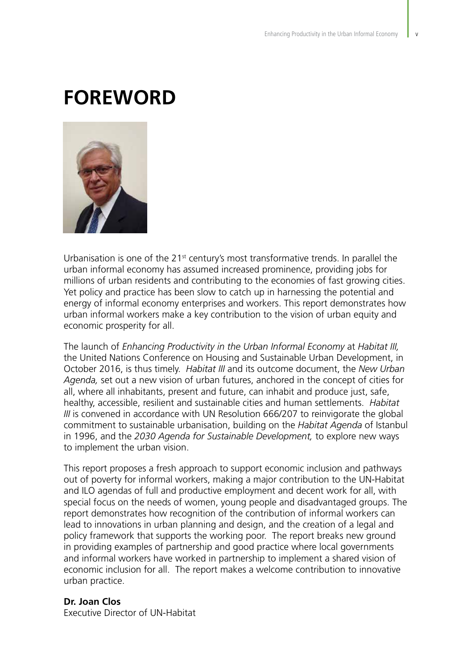### **FOREWORD**



Urbanisation is one of the  $21^{st}$  century's most transformative trends. In parallel the urban informal economy has assumed increased prominence, providing jobs for millions of urban residents and contributing to the economies of fast growing cities. Yet policy and practice has been slow to catch up in harnessing the potential and energy of informal economy enterprises and workers. This report demonstrates how urban informal workers make a key contribution to the vision of urban equity and economic prosperity for all.

The launch of *Enhancing Productivity in the Urban Informal Economy* at *Habitat III,*  the United Nations Conference on Housing and Sustainable Urban Development, in October 2016, is thus timely. *Habitat III* and its outcome document, the *New Urban Agenda,* set out a new vision of urban futures, anchored in the concept of cities for all, where all inhabitants, present and future, can inhabit and produce just, safe, healthy, accessible, resilient and sustainable cities and human settlements. *Habitat III* is convened in accordance with UN Resolution 666/207 to reinvigorate the global commitment to sustainable urbanisation, building on the *Habitat Agenda* of Istanbul in 1996, and the *2030 Agenda for Sustainable Development,* to explore new ways to implement the urban vision.

This report proposes a fresh approach to support economic inclusion and pathways out of poverty for informal workers, making a major contribution to the UN-Habitat and ILO agendas of full and productive employment and decent work for all, with special focus on the needs of women, young people and disadvantaged groups. The report demonstrates how recognition of the contribution of informal workers can lead to innovations in urban planning and design, and the creation of a legal and policy framework that supports the working poor. The report breaks new ground in providing examples of partnership and good practice where local governments and informal workers have worked in partnership to implement a shared vision of economic inclusion for all. The report makes a welcome contribution to innovative urban practice.

### **Dr. Joan Clos**

Executive Director of UN-Habitat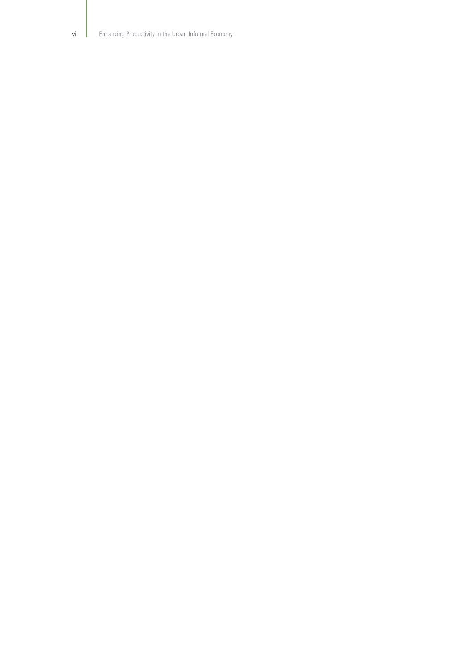### vi **Enhancing Productivity in the Urban Informal Economy**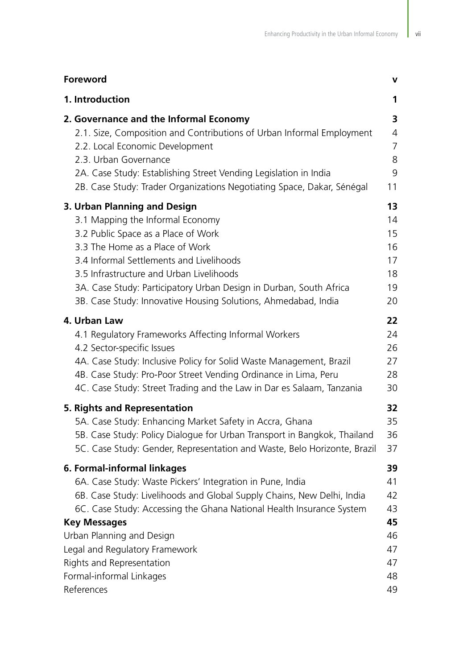| Foreword                                                                                                                                                                                                                                                                                                                                                                   | v                                            |  |  |  |
|----------------------------------------------------------------------------------------------------------------------------------------------------------------------------------------------------------------------------------------------------------------------------------------------------------------------------------------------------------------------------|----------------------------------------------|--|--|--|
| 1. Introduction                                                                                                                                                                                                                                                                                                                                                            | 1                                            |  |  |  |
| 2. Governance and the Informal Economy<br>2.1. Size, Composition and Contributions of Urban Informal Employment<br>2.2. Local Economic Development<br>2.3. Urban Governance<br>2A. Case Study: Establishing Street Vending Legislation in India<br>2B. Case Study: Trader Organizations Negotiating Space, Dakar, Sénégal                                                  | 3<br>$\overline{4}$<br>7<br>8<br>9<br>11     |  |  |  |
| 3. Urban Planning and Design<br>3.1 Mapping the Informal Economy<br>3.2 Public Space as a Place of Work<br>3.3 The Home as a Place of Work<br>3.4 Informal Settlements and Livelihoods<br>3.5 Infrastructure and Urban Livelihoods<br>3A. Case Study: Participatory Urban Design in Durban, South Africa<br>3B. Case Study: Innovative Housing Solutions, Ahmedabad, India | 13<br>14<br>15<br>16<br>17<br>18<br>19<br>20 |  |  |  |
| 4. Urban Law<br>4.1 Regulatory Frameworks Affecting Informal Workers<br>4.2 Sector-specific Issues<br>4A. Case Study: Inclusive Policy for Solid Waste Management, Brazil<br>4B. Case Study: Pro-Poor Street Vending Ordinance in Lima, Peru<br>4C. Case Study: Street Trading and the Law in Dar es Salaam, Tanzania                                                      | 22<br>24<br>26<br>27<br>28<br>30             |  |  |  |
| 5. Rights and Representation<br>5A. Case Study: Enhancing Market Safety in Accra, Ghana<br>5B. Case Study: Policy Dialogue for Urban Transport in Bangkok, Thailand<br>5C. Case Study: Gender, Representation and Waste, Belo Horizonte, Brazil                                                                                                                            | 32<br>35<br>36<br>37                         |  |  |  |
| 6. Formal-informal linkages<br>6A. Case Study: Waste Pickers' Integration in Pune, India<br>6B. Case Study: Livelihoods and Global Supply Chains, New Delhi, India<br>6C. Case Study: Accessing the Ghana National Health Insurance System                                                                                                                                 | 39<br>41<br>42<br>43                         |  |  |  |
| <b>Key Messages</b>                                                                                                                                                                                                                                                                                                                                                        | 45                                           |  |  |  |
| Urban Planning and Design                                                                                                                                                                                                                                                                                                                                                  |                                              |  |  |  |
| Legal and Regulatory Framework                                                                                                                                                                                                                                                                                                                                             |                                              |  |  |  |
| Rights and Representation                                                                                                                                                                                                                                                                                                                                                  |                                              |  |  |  |
| Formal-informal Linkages                                                                                                                                                                                                                                                                                                                                                   |                                              |  |  |  |
| References                                                                                                                                                                                                                                                                                                                                                                 |                                              |  |  |  |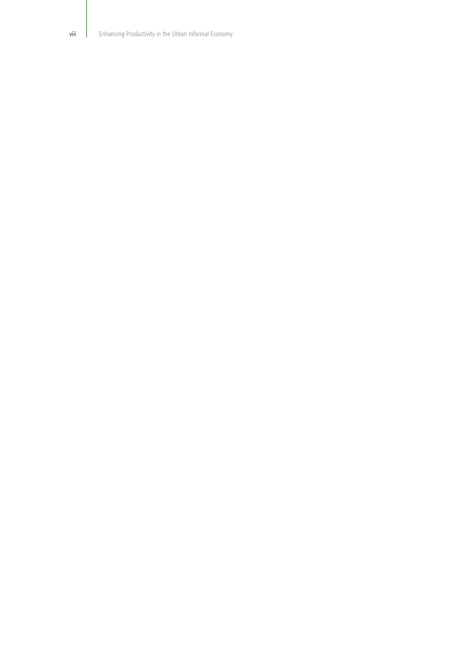### **viii** Enhancing Productivity in the Urban Informal Economy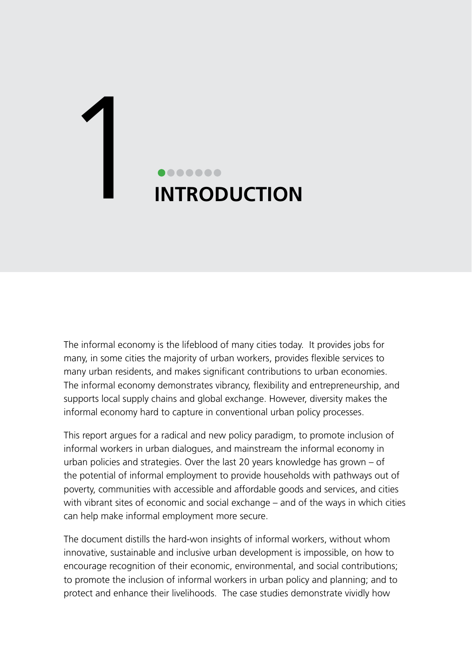# **1**<br>INTRODUCTION

The informal economy is the lifeblood of many cities today. It provides jobs for many, in some cities the majority of urban workers, provides flexible services to many urban residents, and makes significant contributions to urban economies. The informal economy demonstrates vibrancy, flexibility and entrepreneurship, and supports local supply chains and global exchange. However, diversity makes the informal economy hard to capture in conventional urban policy processes.

This report argues for a radical and new policy paradigm, to promote inclusion of informal workers in urban dialogues, and mainstream the informal economy in urban policies and strategies. Over the last 20 years knowledge has grown – of the potential of informal employment to provide households with pathways out of poverty, communities with accessible and affordable goods and services, and cities with vibrant sites of economic and social exchange – and of the ways in which cities can help make informal employment more secure.

The document distills the hard-won insights of informal workers, without whom innovative, sustainable and inclusive urban development is impossible, on how to encourage recognition of their economic, environmental, and social contributions; to promote the inclusion of informal workers in urban policy and planning; and to protect and enhance their livelihoods. The case studies demonstrate vividly how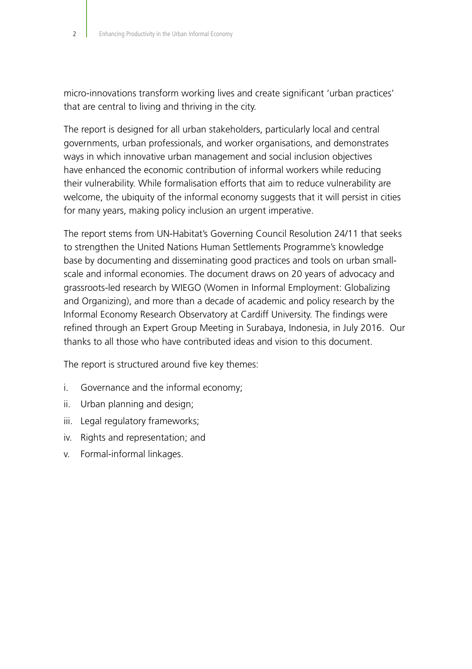micro-innovations transform working lives and create significant 'urban practices' that are central to living and thriving in the city.

The report is designed for all urban stakeholders, particularly local and central governments, urban professionals, and worker organisations, and demonstrates ways in which innovative urban management and social inclusion objectives have enhanced the economic contribution of informal workers while reducing their vulnerability. While formalisation efforts that aim to reduce vulnerability are welcome, the ubiquity of the informal economy suggests that it will persist in cities for many years, making policy inclusion an urgent imperative.

The report stems from UN-Habitat's Governing Council Resolution 24/11 that seeks to strengthen the United Nations Human Settlements Programme's knowledge base by documenting and disseminating good practices and tools on urban smallscale and informal economies. The document draws on 20 years of advocacy and grassroots-led research by WIEGO (Women in Informal Employment: Globalizing and Organizing), and more than a decade of academic and policy research by the Informal Economy Research Observatory at Cardiff University. The findings were refined through an Expert Group Meeting in Surabaya, Indonesia, in July 2016. Our thanks to all those who have contributed ideas and vision to this document.

The report is structured around five key themes:

- i. Governance and the informal economy;
- ii. Urban planning and design;
- iii. Legal regulatory frameworks:
- iv. Rights and representation; and
- v. Formal-informal linkages.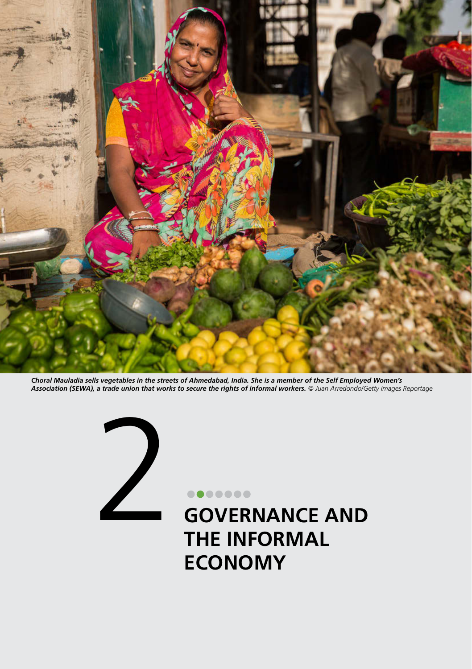

*Choral Mauladia sells vegetables in the streets of Ahmedabad, India. She is a member of the Self Employed Women's Association (SEWA), a trade union that works to secure the rights of informal workers. © Juan Arredondo/Getty Images Reportage*



**THE INFORMAL ECONOMY**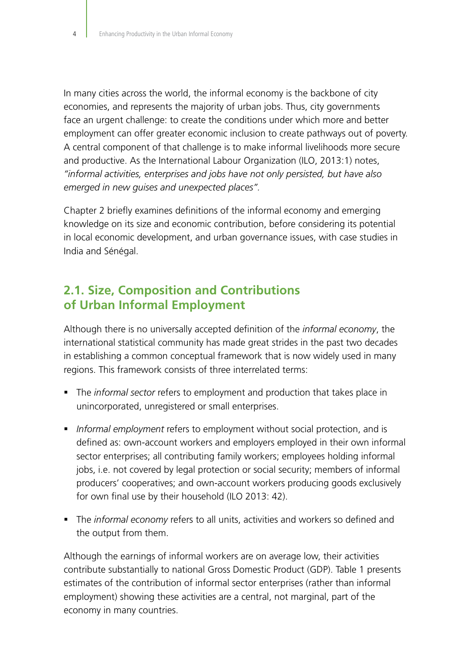In many cities across the world, the informal economy is the backbone of city economies, and represents the majority of urban jobs. Thus, city governments face an urgent challenge: to create the conditions under which more and better employment can offer greater economic inclusion to create pathways out of poverty. A central component of that challenge is to make informal livelihoods more secure and productive. As the International Labour Organization (ILO, 2013:1) notes, *"informal activities, enterprises and jobs have not only persisted, but have also emerged in new guises and unexpected places".*

Chapter 2 briefly examines definitions of the informal economy and emerging knowledge on its size and economic contribution, before considering its potential in local economic development, and urban governance issues, with case studies in India and Sénégal.

### **2.1. Size, Composition and Contributions of Urban Informal Employment**

Although there is no universally accepted definition of the *informal economy*, the international statistical community has made great strides in the past two decades in establishing a common conceptual framework that is now widely used in many regions. This framework consists of three interrelated terms:

- § The *informal sector* refers to employment and production that takes place in unincorporated, unregistered or small enterprises.
- § *Informal employment* refers to employment without social protection, and is defined as: own-account workers and employers employed in their own informal sector enterprises; all contributing family workers; employees holding informal jobs, i.e. not covered by legal protection or social security; members of informal producers' cooperatives; and own-account workers producing goods exclusively for own final use by their household (ILO 2013: 42).
- § The *informal economy* refers to all units, activities and workers so defined and the output from them.

Although the earnings of informal workers are on average low, their activities contribute substantially to national Gross Domestic Product (GDP). Table 1 presents estimates of the contribution of informal sector enterprises (rather than informal employment) showing these activities are a central, not marginal, part of the economy in many countries.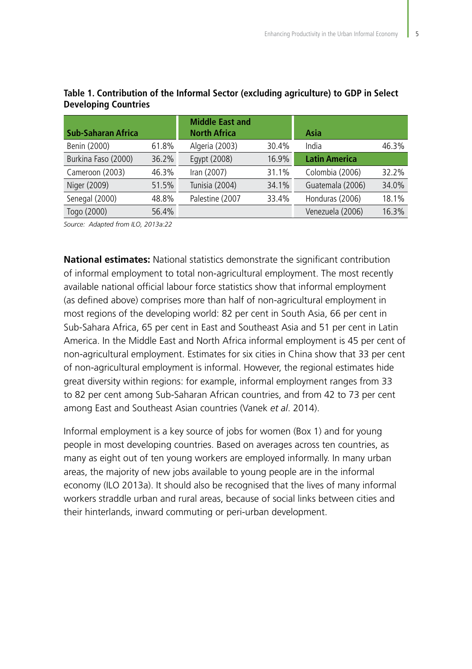| <b>Sub-Saharan Africa</b> |       | <b>Middle East and</b><br><b>North Africa</b> |       | Asia                 |       |
|---------------------------|-------|-----------------------------------------------|-------|----------------------|-------|
| Benin (2000)              | 61.8% | Algeria (2003)                                | 30.4% | India                | 46.3% |
| Burkina Faso (2000)       | 36.2% | Eqypt (2008)                                  | 16.9% | <b>Latin America</b> |       |
| Cameroon (2003)           | 46.3% | Iran (2007)                                   | 31.1% | Colombia (2006)      | 32.2% |
| Niger (2009)              | 51.5% | Tunisia (2004)                                | 34.1% | Guatemala (2006)     | 34.0% |
| Senegal (2000)            | 48.8% | Palestine (2007                               | 33.4% | Honduras (2006)      | 18.1% |
| Togo (2000)               | 56.4% |                                               |       | Venezuela (2006)     | 16.3% |

### **Table 1. Contribution of the Informal Sector (excluding agriculture) to GDP in Select Developing Countries**

*Source: Adapted from ILO, 2013a:22*

**National estimates:** National statistics demonstrate the significant contribution of informal employment to total non-agricultural employment. The most recently available national official labour force statistics show that informal employment (as defined above) comprises more than half of non-agricultural employment in most regions of the developing world: 82 per cent in South Asia, 66 per cent in Sub-Sahara Africa, 65 per cent in East and Southeast Asia and 51 per cent in Latin America. In the Middle East and North Africa informal employment is 45 per cent of non-agricultural employment. Estimates for six cities in China show that 33 per cent of non-agricultural employment is informal. However, the regional estimates hide great diversity within regions: for example, informal employment ranges from 33 to 82 per cent among Sub-Saharan African countries, and from 42 to 73 per cent among East and Southeast Asian countries (Vanek *et al*. 2014).

Informal employment is a key source of jobs for women (Box 1) and for young people in most developing countries. Based on averages across ten countries, as many as eight out of ten young workers are employed informally. In many urban areas, the majority of new jobs available to young people are in the informal economy (ILO 2013a). It should also be recognised that the lives of many informal workers straddle urban and rural areas, because of social links between cities and their hinterlands, inward commuting or peri-urban development.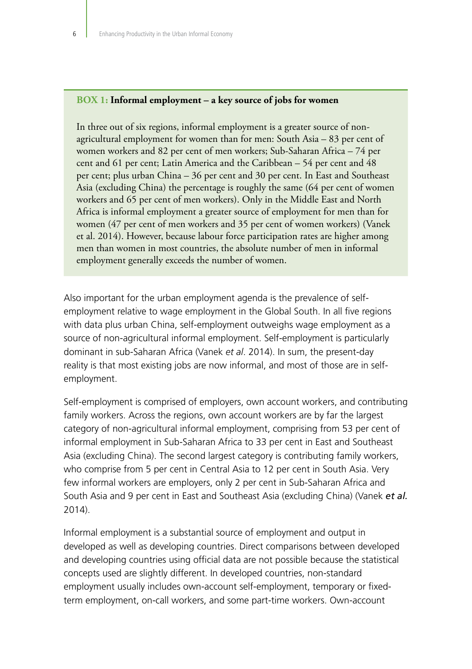### **BOX 1: Informal employment – a key source of jobs for women**

In three out of six regions, informal employment is a greater source of nonagricultural employment for women than for men: South Asia – 83 per cent of women workers and 82 per cent of men workers; Sub-Saharan Africa – 74 per cent and 61 per cent; Latin America and the Caribbean – 54 per cent and 48 per cent; plus urban China – 36 per cent and 30 per cent. In East and Southeast Asia (excluding China) the percentage is roughly the same (64 per cent of women workers and 65 per cent of men workers). Only in the Middle East and North Africa is informal employment a greater source of employment for men than for women (47 per cent of men workers and 35 per cent of women workers) (Vanek et al. 2014). However, because labour force participation rates are higher among men than women in most countries, the absolute number of men in informal employment generally exceeds the number of women.

Also important for the urban employment agenda is the prevalence of selfemployment relative to wage employment in the Global South. In all five regions with data plus urban China, self-employment outweighs wage employment as a source of non-agricultural informal employment. Self-employment is particularly dominant in sub-Saharan Africa (Vanek *et al*. 2014). In sum, the present-day reality is that most existing jobs are now informal, and most of those are in selfemployment.

Self-employment is comprised of employers, own account workers, and contributing family workers. Across the regions, own account workers are by far the largest category of non-agricultural informal employment, comprising from 53 per cent of informal employment in Sub-Saharan Africa to 33 per cent in East and Southeast Asia (excluding China). The second largest category is contributing family workers, who comprise from 5 per cent in Central Asia to 12 per cent in South Asia. Very few informal workers are employers, only 2 per cent in Sub-Saharan Africa and South Asia and 9 per cent in East and Southeast Asia (excluding China) (Vanek *et al.* 2014).

Informal employment is a substantial source of employment and output in developed as well as developing countries. Direct comparisons between developed and developing countries using official data are not possible because the statistical concepts used are slightly different. In developed countries, non-standard employment usually includes own-account self-employment, temporary or fixedterm employment, on-call workers, and some part-time workers. Own-account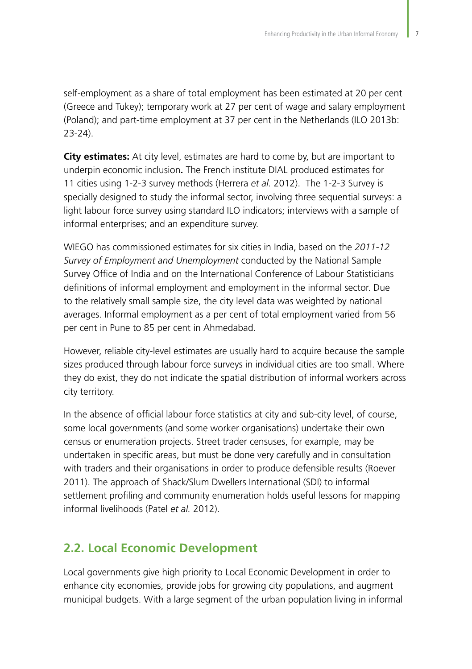self-employment as a share of total employment has been estimated at 20 per cent (Greece and Tukey); temporary work at 27 per cent of wage and salary employment (Poland); and part-time employment at 37 per cent in the Netherlands (ILO 2013b: 23-24).

**City estimates:** At city level, estimates are hard to come by, but are important to underpin economic inclusion**.** The French institute DIAL produced estimates for 11 cities using 1-2-3 survey methods (Herrera *et al.* 2012). The 1-2-3 Survey is specially designed to study the informal sector, involving three sequential surveys: a light labour force survey using standard ILO indicators; interviews with a sample of informal enterprises; and an expenditure survey.

WIEGO has commissioned estimates for six cities in India, based on the *2011-12 Survey of Employment and Unemployment* conducted by the National Sample Survey Office of India and on the International Conference of Labour Statisticians definitions of informal employment and employment in the informal sector. Due to the relatively small sample size, the city level data was weighted by national averages. Informal employment as a per cent of total employment varied from 56 per cent in Pune to 85 per cent in Ahmedabad.

However, reliable city-level estimates are usually hard to acquire because the sample sizes produced through labour force surveys in individual cities are too small. Where they do exist, they do not indicate the spatial distribution of informal workers across city territory.

In the absence of official labour force statistics at city and sub-city level, of course, some local governments (and some worker organisations) undertake their own census or enumeration projects. Street trader censuses, for example, may be undertaken in specific areas, but must be done very carefully and in consultation with traders and their organisations in order to produce defensible results (Roever 2011). The approach of Shack/Slum Dwellers International (SDI) to informal settlement profiling and community enumeration holds useful lessons for mapping informal livelihoods (Patel *et al.* 2012).

### **2.2. Local Economic Development**

Local governments give high priority to Local Economic Development in order to enhance city economies, provide jobs for growing city populations, and augment municipal budgets. With a large segment of the urban population living in informal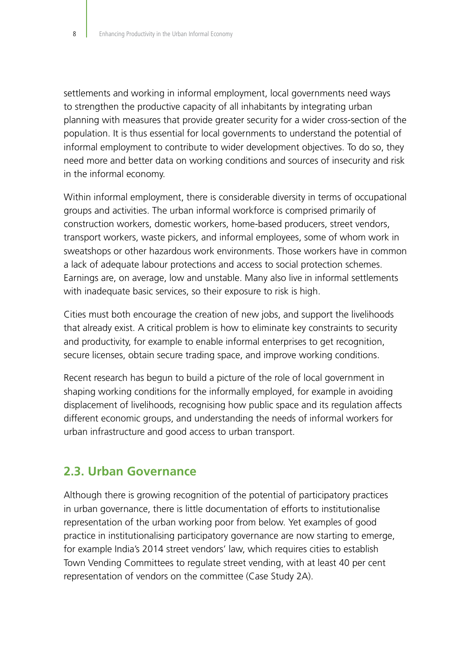settlements and working in informal employment, local governments need ways to strengthen the productive capacity of all inhabitants by integrating urban planning with measures that provide greater security for a wider cross-section of the population. It is thus essential for local governments to understand the potential of informal employment to contribute to wider development objectives. To do so, they need more and better data on working conditions and sources of insecurity and risk in the informal economy.

Within informal employment, there is considerable diversity in terms of occupational groups and activities. The urban informal workforce is comprised primarily of construction workers, domestic workers, home-based producers, street vendors, transport workers, waste pickers, and informal employees, some of whom work in sweatshops or other hazardous work environments. Those workers have in common a lack of adequate labour protections and access to social protection schemes. Earnings are, on average, low and unstable. Many also live in informal settlements with inadequate basic services, so their exposure to risk is high.

Cities must both encourage the creation of new jobs, and support the livelihoods that already exist. A critical problem is how to eliminate key constraints to security and productivity, for example to enable informal enterprises to get recognition, secure licenses, obtain secure trading space, and improve working conditions.

Recent research has begun to build a picture of the role of local government in shaping working conditions for the informally employed, for example in avoiding displacement of livelihoods, recognising how public space and its regulation affects different economic groups, and understanding the needs of informal workers for urban infrastructure and good access to urban transport.

### **2.3. Urban Governance**

Although there is growing recognition of the potential of participatory practices in urban governance, there is little documentation of efforts to institutionalise representation of the urban working poor from below. Yet examples of good practice in institutionalising participatory governance are now starting to emerge, for example India's 2014 street vendors' law, which requires cities to establish Town Vending Committees to regulate street vending, with at least 40 per cent representation of vendors on the committee (Case Study 2A).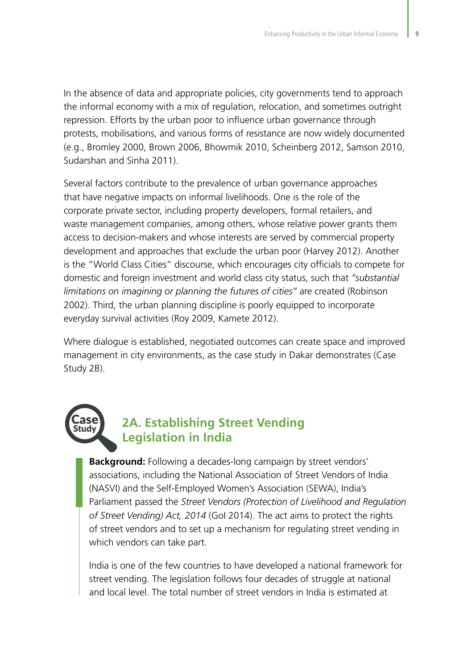In the absence of data and appropriate policies, city governments tend to approach the informal economy with a mix of regulation, relocation, and sometimes outright repression. Efforts by the urban poor to influence urban governance through protests, mobilisations, and various forms of resistance are now widely documented (e.g., Bromley 2000, Brown 2006, Bhowmik 2010, Scheinberg 2012, Samson 2010, Sudarshan and Sinha 2011).

Several factors contribute to the prevalence of urban governance approaches that have negative impacts on informal livelihoods. One is the role of the corporate private sector, including property developers, formal retailers, and waste management companies, among others, whose relative power grants them access to decision-makers and whose interests are served by commercial property development and approaches that exclude the urban poor (Harvey 2012). Another is the "World Class Cities" discourse, which encourages city officials to compete for domestic and foreign investment and world class city status, such that *"substantial limitations on imagining or planning the futures of cities"* are created (Robinson 2002). Third, the urban planning discipline is poorly equipped to incorporate everyday survival activities (Roy 2009, Kamete 2012).

Where dialogue is established, negotiated outcomes can create space and improved management in city environments, as the case study in Dakar demonstrates (Case Study 2B).



### **2A. Establishing Street Vending Legislation in India**

**Background:** Following a decades-long campaign by street vendors' associations, including the National Association of Street Vendors of India (NASVI) and the Self-Employed Women's Association (SEWA), India's Parliament passed the *Street Vendors (Protection of Livelihood and Regulation of Street Vending) Act, 2014* (GoI 2014). The act aims to protect the rights of street vendors and to set up a mechanism for regulating street vending in which vendors can take part.

India is one of the few countries to have developed a national framework for street vending. The legislation follows four decades of struggle at national and local level. The total number of street vendors in India is estimated at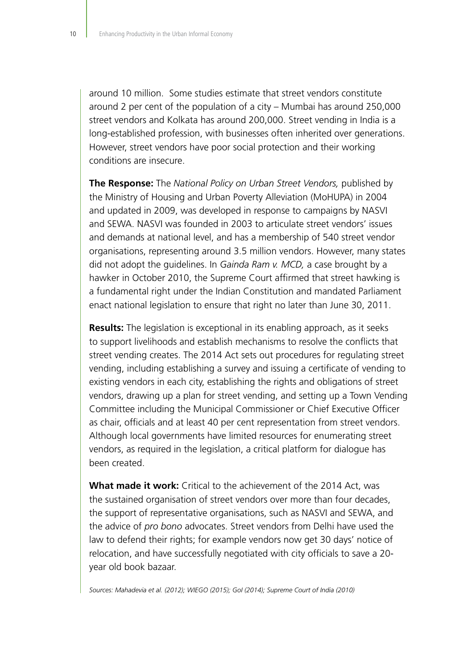around 10 million. Some studies estimate that street vendors constitute around 2 per cent of the population of a city – Mumbai has around 250,000 street vendors and Kolkata has around 200,000. Street vending in India is a long-established profession, with businesses often inherited over generations. However, street vendors have poor social protection and their working conditions are insecure.

**The Response:** The *National Policy on Urban Street Vendors,* published by the Ministry of Housing and Urban Poverty Alleviation (MoHUPA) in 2004 and updated in 2009, was developed in response to campaigns by NASVI and SEWA. NASVI was founded in 2003 to articulate street vendors' issues and demands at national level, and has a membership of 540 street vendor organisations, representing around 3.5 million vendors. However, many states did not adopt the guidelines. In *Gainda Ram v. MCD,* a case brought by a hawker in October 2010, the Supreme Court affirmed that street hawking is a fundamental right under the Indian Constitution and mandated Parliament enact national legislation to ensure that right no later than June 30, 2011.

**Results:** The legislation is exceptional in its enabling approach, as it seeks to support livelihoods and establish mechanisms to resolve the conflicts that street vending creates. The 2014 Act sets out procedures for regulating street vending, including establishing a survey and issuing a certificate of vending to existing vendors in each city, establishing the rights and obligations of street vendors, drawing up a plan for street vending, and setting up a Town Vending Committee including the Municipal Commissioner or Chief Executive Officer as chair, officials and at least 40 per cent representation from street vendors. Although local governments have limited resources for enumerating street vendors, as required in the legislation, a critical platform for dialogue has been created.

**What made it work:** Critical to the achievement of the 2014 Act, was the sustained organisation of street vendors over more than four decades, the support of representative organisations, such as NASVI and SEWA, and the advice of *pro bono* advocates. Street vendors from Delhi have used the law to defend their rights; for example vendors now get 30 days' notice of relocation, and have successfully negotiated with city officials to save a 20 year old book bazaar.

*Sources: Mahadevia et al. (2012); WIEGO (2015); GoI (2014); Supreme Court of India (2010)*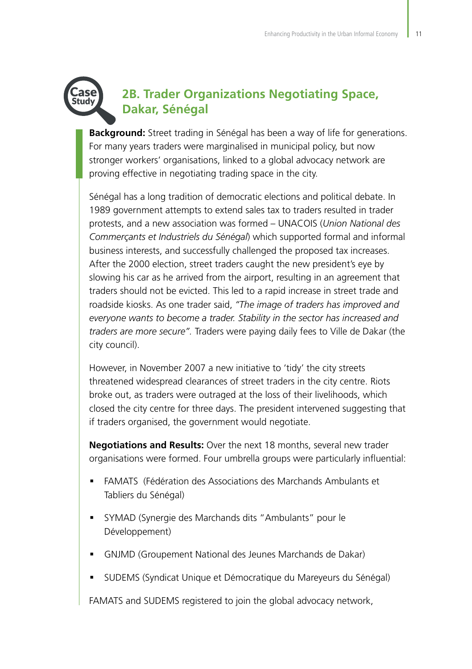### **2B. Trader Organizations Negotiating Space, Dakar, Sénégal**

**Background:** Street trading in Sénégal has been a way of life for generations. For many years traders were marginalised in municipal policy, but now stronger workers' organisations, linked to a global advocacy network are proving effective in negotiating trading space in the city.

Sénégal has a long tradition of democratic elections and political debate. In 1989 government attempts to extend sales tax to traders resulted in trader protests, and a new association was formed – UNACOIS (*Union National des Commerçants et Industriels du Sénégal*) which supported formal and informal business interests, and successfully challenged the proposed tax increases. After the 2000 election, street traders caught the new president's eye by slowing his car as he arrived from the airport, resulting in an agreement that traders should not be evicted. This led to a rapid increase in street trade and roadside kiosks. As one trader said, *"The image of traders has improved and everyone wants to become a trader. Stability in the sector has increased and traders are more secure".* Traders were paying daily fees to Ville de Dakar (the city council).

However, in November 2007 a new initiative to 'tidy' the city streets threatened widespread clearances of street traders in the city centre. Riots broke out, as traders were outraged at the loss of their livelihoods, which closed the city centre for three days. The president intervened suggesting that if traders organised, the government would negotiate.

**Negotiations and Results:** Over the next 18 months, several new trader organisations were formed. Four umbrella groups were particularly influential:

- § FAMATS (Fédération des Associations des Marchands Ambulants et Tabliers du Sénégal)
- § SYMAD (Synergie des Marchands dits "Ambulants" pour le Développement)
- § GNJMD (Groupement National des Jeunes Marchands de Dakar)
- § SUDEMS (Syndicat Unique et Démocratique du Mareyeurs du Sénégal)

FAMATS and SUDEMS registered to join the global advocacy network,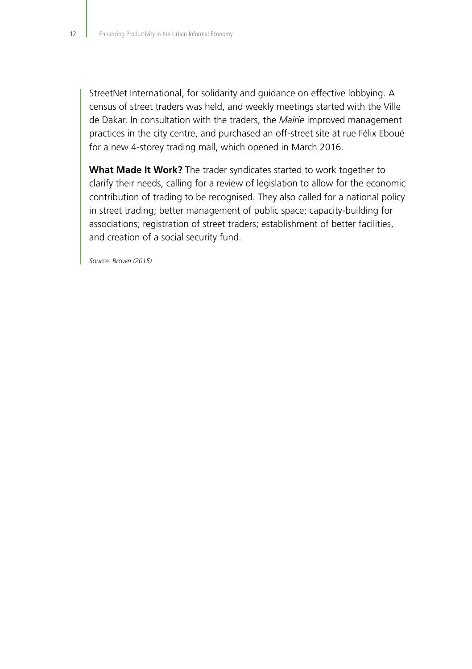StreetNet International, for solidarity and guidance on effective lobbying. A census of street traders was held, and weekly meetings started with the Ville de Dakar. In consultation with the traders, the *Mairie* improved management practices in the city centre, and purchased an off-street site at rue Félix Eboué for a new 4-storey trading mall, which opened in March 2016.

**What Made It Work?** The trader syndicates started to work together to clarify their needs, calling for a review of legislation to allow for the economic contribution of trading to be recognised. They also called for a national policy in street trading; better management of public space; capacity-building for associations; registration of street traders; establishment of better facilities, and creation of a social security fund.

*Source: Brown (2015)*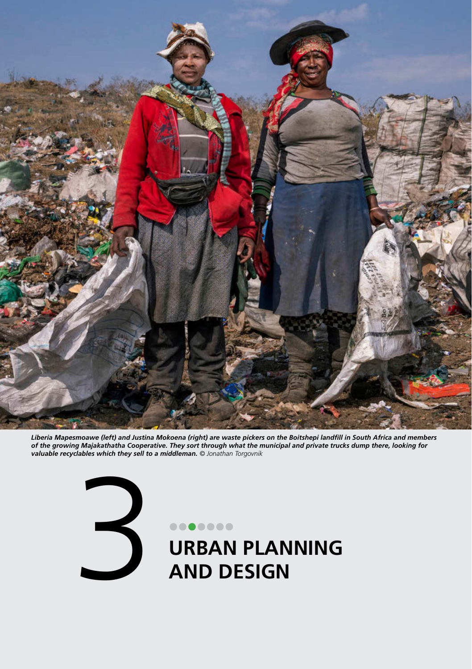

Liberia Mapesmoawe (left) and Justina Mokoena (right) are waste pickers on the Boitshepi landfill in South Africa and members<br>of the growing Majakathatha Cooperative. They sort through what the municipal and private trucks



### **SECOND URBAN PLANNING**<br>AND DESIGN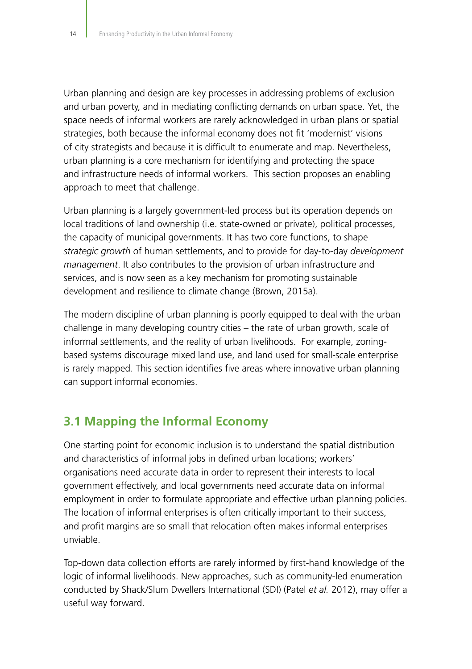Urban planning and design are key processes in addressing problems of exclusion and urban poverty, and in mediating conflicting demands on urban space. Yet, the space needs of informal workers are rarely acknowledged in urban plans or spatial strategies, both because the informal economy does not fit 'modernist' visions of city strategists and because it is difficult to enumerate and map. Nevertheless, urban planning is a core mechanism for identifying and protecting the space and infrastructure needs of informal workers. This section proposes an enabling approach to meet that challenge.

Urban planning is a largely government-led process but its operation depends on local traditions of land ownership (i.e. state-owned or private), political processes, the capacity of municipal governments. It has two core functions, to shape *strategic growth* of human settlements, and to provide for day-to-day *development management*. It also contributes to the provision of urban infrastructure and services, and is now seen as a key mechanism for promoting sustainable development and resilience to climate change (Brown, 2015a).

The modern discipline of urban planning is poorly equipped to deal with the urban challenge in many developing country cities – the rate of urban growth, scale of informal settlements, and the reality of urban livelihoods. For example, zoningbased systems discourage mixed land use, and land used for small-scale enterprise is rarely mapped. This section identifies five areas where innovative urban planning can support informal economies.

### **3.1 Mapping the Informal Economy**

One starting point for economic inclusion is to understand the spatial distribution and characteristics of informal jobs in defined urban locations; workers' organisations need accurate data in order to represent their interests to local government effectively, and local governments need accurate data on informal employment in order to formulate appropriate and effective urban planning policies. The location of informal enterprises is often critically important to their success, and profit margins are so small that relocation often makes informal enterprises unviable.

Top-down data collection efforts are rarely informed by first-hand knowledge of the logic of informal livelihoods. New approaches, such as community-led enumeration conducted by Shack/Slum Dwellers International (SDI) (Patel *et al.* 2012), may offer a useful way forward.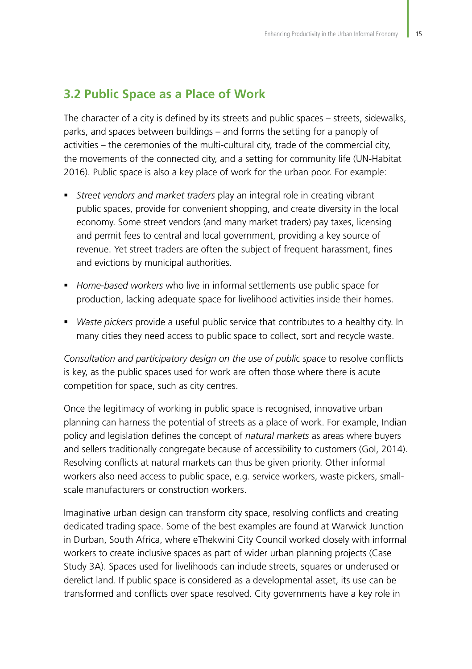### **3.2 Public Space as a Place of Work**

The character of a city is defined by its streets and public spaces – streets, sidewalks, parks, and spaces between buildings – and forms the setting for a panoply of activities – the ceremonies of the multi-cultural city, trade of the commercial city, the movements of the connected city, and a setting for community life (UN-Habitat 2016). Public space is also a key place of work for the urban poor. For example:

- § *Street vendors and market traders* play an integral role in creating vibrant public spaces, provide for convenient shopping, and create diversity in the local economy. Some street vendors (and many market traders) pay taxes, licensing and permit fees to central and local government, providing a key source of revenue. Yet street traders are often the subject of frequent harassment, fines and evictions by municipal authorities.
- § *Home-based workers* who live in informal settlements use public space for production, lacking adequate space for livelihood activities inside their homes.
- § *Waste pickers* provide a useful public service that contributes to a healthy city. In many cities they need access to public space to collect, sort and recycle waste.

*Consultation and participatory design on the use of public space* to resolve conflicts is key, as the public spaces used for work are often those where there is acute competition for space, such as city centres.

Once the legitimacy of working in public space is recognised, innovative urban planning can harness the potential of streets as a place of work. For example, Indian policy and legislation defines the concept of *natural markets* as areas where buyers and sellers traditionally congregate because of accessibility to customers (GoI, 2014). Resolving conflicts at natural markets can thus be given priority. Other informal workers also need access to public space, e.g. service workers, waste pickers, smallscale manufacturers or construction workers.

Imaginative urban design can transform city space, resolving conflicts and creating dedicated trading space. Some of the best examples are found at Warwick Junction in Durban, South Africa, where eThekwini City Council worked closely with informal workers to create inclusive spaces as part of wider urban planning projects (Case Study 3A). Spaces used for livelihoods can include streets, squares or underused or derelict land. If public space is considered as a developmental asset, its use can be transformed and conflicts over space resolved. City governments have a key role in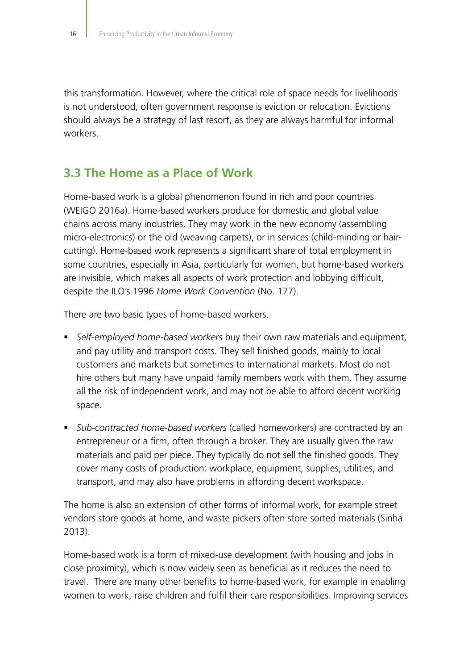this transformation. However, where the critical role of space needs for livelihoods is not understood, often government response is eviction or relocation. Evictions should always be a strategy of last resort, as they are always harmful for informal workers.

### **3.3 The Home as a Place of Work**

Home-based work is a global phenomenon found in rich and poor countries (WEIGO 2016a). Home-based workers produce for domestic and global value chains across many industries. They may work in the new economy (assembling micro-electronics) or the old (weaving carpets), or in services (child-minding or haircutting). Home-based work represents a significant share of total employment in some countries, especially in Asia, particularly for women, but home-based workers are invisible, which makes all aspects of work protection and lobbying difficult, despite the ILO's 1996 *Home Work Convention* (No. 177).

There are two basic types of home-based workers.

- § *Self-employed home-based workers* buy their own raw materials and equipment, and pay utility and transport costs. They sell finished goods, mainly to local customers and markets but sometimes to international markets. Most do not hire others but many have unpaid family members work with them. They assume all the risk of independent work, and may not be able to afford decent working space.
- § *Sub-contracted home-based workers* (called homeworkers) are contracted by an entrepreneur or a firm, often through a broker. They are usually given the raw materials and paid per piece. They typically do not sell the finished goods. They cover many costs of production: workplace, equipment, supplies, utilities, and transport, and may also have problems in affording decent workspace.

The home is also an extension of other forms of informal work, for example street vendors store goods at home, and waste pickers often store sorted materials (Sinha 2013).

Home-based work is a form of mixed-use development (with housing and jobs in close proximity), which is now widely seen as beneficial as it reduces the need to travel. There are many other benefits to home-based work, for example in enabling women to work, raise children and fulfil their care responsibilities. Improving services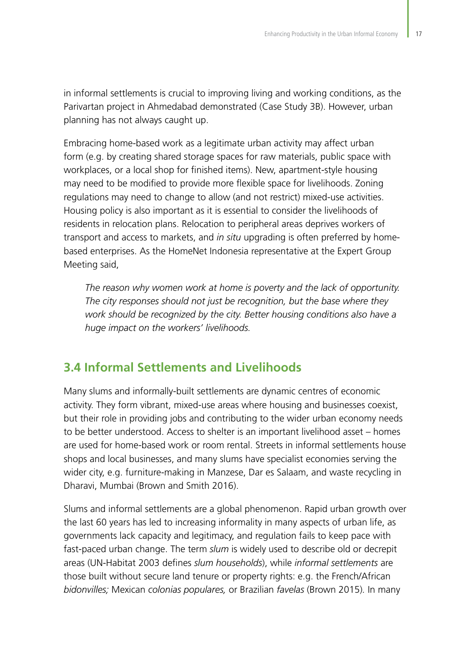in informal settlements is crucial to improving living and working conditions, as the Parivartan project in Ahmedabad demonstrated (Case Study 3B). However, urban planning has not always caught up.

Embracing home-based work as a legitimate urban activity may affect urban form (e.g. by creating shared storage spaces for raw materials, public space with workplaces, or a local shop for finished items). New, apartment-style housing may need to be modified to provide more flexible space for livelihoods. Zoning regulations may need to change to allow (and not restrict) mixed-use activities. Housing policy is also important as it is essential to consider the livelihoods of residents in relocation plans. Relocation to peripheral areas deprives workers of transport and access to markets, and *in situ* upgrading is often preferred by homebased enterprises. As the HomeNet Indonesia representative at the Expert Group Meeting said,

*The reason why women work at home is poverty and the lack of opportunity. The city responses should not just be recognition, but the base where they work should be recognized by the city. Better housing conditions also have a huge impact on the workers' livelihoods.*

### **3.4 Informal Settlements and Livelihoods**

Many slums and informally-built settlements are dynamic centres of economic activity. They form vibrant, mixed-use areas where housing and businesses coexist, but their role in providing jobs and contributing to the wider urban economy needs to be better understood. Access to shelter is an important livelihood asset – homes are used for home-based work or room rental. Streets in informal settlements house shops and local businesses, and many slums have specialist economies serving the wider city, e.g. furniture-making in Manzese, Dar es Salaam, and waste recycling in Dharavi, Mumbai (Brown and Smith 2016).

Slums and informal settlements are a global phenomenon. Rapid urban growth over the last 60 years has led to increasing informality in many aspects of urban life, as governments lack capacity and legitimacy, and regulation fails to keep pace with fast-paced urban change. The term *slum* is widely used to describe old or decrepit areas (UN-Habitat 2003 defines *slum households*), while *informal settlements* are those built without secure land tenure or property rights: e.g. the French/African *bidonvilles;* Mexican *colonias populares,* or Brazilian *favelas* (Brown 2015)*.* In many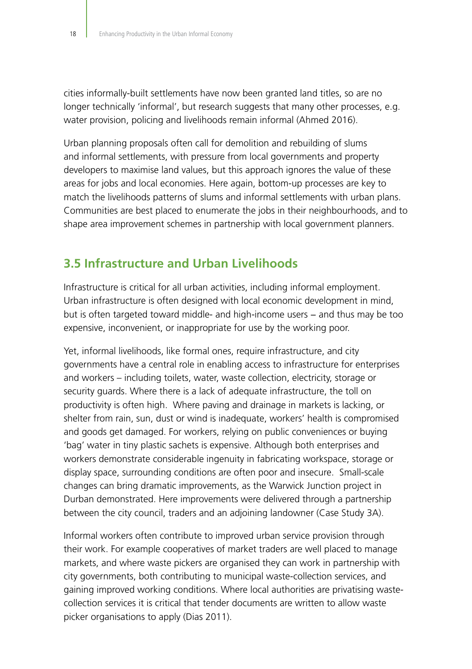cities informally-built settlements have now been granted land titles, so are no longer technically 'informal', but research suggests that many other processes, e.g. water provision, policing and livelihoods remain informal (Ahmed 2016).

Urban planning proposals often call for demolition and rebuilding of slums and informal settlements, with pressure from local governments and property developers to maximise land values, but this approach ignores the value of these areas for jobs and local economies. Here again, bottom-up processes are key to match the livelihoods patterns of slums and informal settlements with urban plans. Communities are best placed to enumerate the jobs in their neighbourhoods, and to shape area improvement schemes in partnership with local government planners.

### **3.5 Infrastructure and Urban Livelihoods**

Infrastructure is critical for all urban activities, including informal employment. Urban infrastructure is often designed with local economic development in mind, but is often targeted toward middle- and high-income users − and thus may be too expensive, inconvenient, or inappropriate for use by the working poor.

Yet, informal livelihoods, like formal ones, require infrastructure, and city governments have a central role in enabling access to infrastructure for enterprises and workers – including toilets, water, waste collection, electricity, storage or security guards. Where there is a lack of adequate infrastructure, the toll on productivity is often high. Where paving and drainage in markets is lacking, or shelter from rain, sun, dust or wind is inadequate, workers' health is compromised and goods get damaged. For workers, relying on public conveniences or buying 'bag' water in tiny plastic sachets is expensive. Although both enterprises and workers demonstrate considerable ingenuity in fabricating workspace, storage or display space, surrounding conditions are often poor and insecure. Small-scale changes can bring dramatic improvements, as the Warwick Junction project in Durban demonstrated. Here improvements were delivered through a partnership between the city council, traders and an adjoining landowner (Case Study 3A).

Informal workers often contribute to improved urban service provision through their work. For example cooperatives of market traders are well placed to manage markets, and where waste pickers are organised they can work in partnership with city governments, both contributing to municipal waste-collection services, and gaining improved working conditions. Where local authorities are privatising wastecollection services it is critical that tender documents are written to allow waste picker organisations to apply (Dias 2011).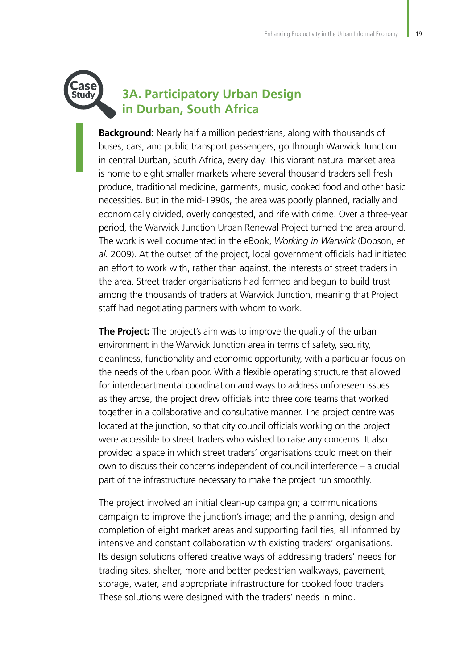### **3A. Participatory Urban Design in Durban, South Africa**

**Background:** Nearly half a million pedestrians, along with thousands of buses, cars, and public transport passengers, go through Warwick Junction in central Durban, South Africa, every day. This vibrant natural market area is home to eight smaller markets where several thousand traders sell fresh produce, traditional medicine, garments, music, cooked food and other basic necessities. But in the mid-1990s, the area was poorly planned, racially and economically divided, overly congested, and rife with crime. Over a three-year period, the Warwick Junction Urban Renewal Project turned the area around. The work is well documented in the eBook, *Working in Warwick* (Dobson, *et al.* 2009). At the outset of the project, local government officials had initiated an effort to work with, rather than against, the interests of street traders in the area. Street trader organisations had formed and begun to build trust among the thousands of traders at Warwick Junction, meaning that Project staff had negotiating partners with whom to work.

**The Project:** The project's aim was to improve the quality of the urban environment in the Warwick Junction area in terms of safety, security, cleanliness, functionality and economic opportunity, with a particular focus on the needs of the urban poor. With a flexible operating structure that allowed for interdepartmental coordination and ways to address unforeseen issues as they arose, the project drew officials into three core teams that worked together in a collaborative and consultative manner. The project centre was located at the junction, so that city council officials working on the project were accessible to street traders who wished to raise any concerns. It also provided a space in which street traders' organisations could meet on their own to discuss their concerns independent of council interference – a crucial part of the infrastructure necessary to make the project run smoothly.

The project involved an initial clean-up campaign; a communications campaign to improve the junction's image; and the planning, design and completion of eight market areas and supporting facilities, all informed by intensive and constant collaboration with existing traders' organisations. Its design solutions offered creative ways of addressing traders' needs for trading sites, shelter, more and better pedestrian walkways, pavement, storage, water, and appropriate infrastructure for cooked food traders. These solutions were designed with the traders' needs in mind.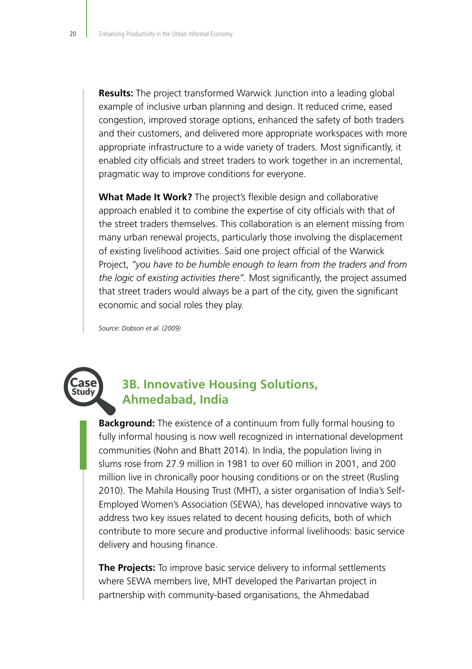**Results:** The project transformed Warwick Junction into a leading global example of inclusive urban planning and design. It reduced crime, eased congestion, improved storage options, enhanced the safety of both traders and their customers, and delivered more appropriate workspaces with more appropriate infrastructure to a wide variety of traders. Most significantly, it enabled city officials and street traders to work together in an incremental, pragmatic way to improve conditions for everyone.

**What Made It Work?** The project's flexible design and collaborative approach enabled it to combine the expertise of city officials with that of the street traders themselves. This collaboration is an element missing from many urban renewal projects, particularly those involving the displacement of existing livelihood activities. Said one project official of the Warwick Project, *"you have to be humble enough to learn from the traders and from the logic of existing activities there".* Most significantly, the project assumed that street traders would always be a part of the city, given the significant economic and social roles they play.

*Source: Dobson et al. (2009)* 

### **3B. Innovative Housing Solutions, Ahmedabad, India**

**Background:** The existence of a continuum from fully formal housing to fully informal housing is now well recognized in international development communities (Nohn and Bhatt 2014). In India, the population living in slums rose from 27.9 million in 1981 to over 60 million in 2001, and 200 million live in chronically poor housing conditions or on the street (Rusling 2010). The Mahila Housing Trust (MHT), a sister organisation of India's Self-Employed Women's Association (SEWA), has developed innovative ways to address two key issues related to decent housing deficits, both of which contribute to more secure and productive informal livelihoods: basic service delivery and housing finance.

**The Projects:** To improve basic service delivery to informal settlements where SEWA members live, MHT developed the Parivartan project in partnership with community-based organisations, the Ahmedabad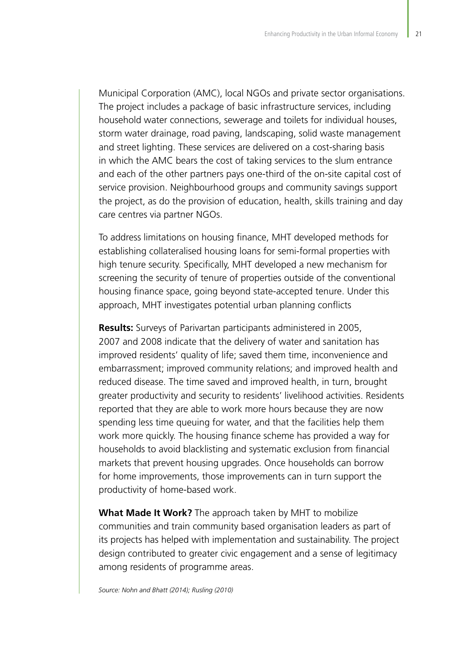Municipal Corporation (AMC), local NGOs and private sector organisations. The project includes a package of basic infrastructure services, including household water connections, sewerage and toilets for individual houses, storm water drainage, road paving, landscaping, solid waste management and street lighting. These services are delivered on a cost-sharing basis in which the AMC bears the cost of taking services to the slum entrance and each of the other partners pays one-third of the on-site capital cost of service provision. Neighbourhood groups and community savings support the project, as do the provision of education, health, skills training and day care centres via partner NGOs.

To address limitations on housing finance, MHT developed methods for establishing collateralised housing loans for semi-formal properties with high tenure security. Specifically, MHT developed a new mechanism for screening the security of tenure of properties outside of the conventional housing finance space, going beyond state-accepted tenure. Under this approach, MHT investigates potential urban planning conflicts

**Results:** Surveys of Parivartan participants administered in 2005, 2007 and 2008 indicate that the delivery of water and sanitation has improved residents' quality of life; saved them time, inconvenience and embarrassment; improved community relations; and improved health and reduced disease. The time saved and improved health, in turn, brought greater productivity and security to residents' livelihood activities. Residents reported that they are able to work more hours because they are now spending less time queuing for water, and that the facilities help them work more quickly. The housing finance scheme has provided a way for households to avoid blacklisting and systematic exclusion from financial markets that prevent housing upgrades. Once households can borrow for home improvements, those improvements can in turn support the productivity of home-based work.

**What Made It Work?** The approach taken by MHT to mobilize communities and train community based organisation leaders as part of its projects has helped with implementation and sustainability. The project design contributed to greater civic engagement and a sense of legitimacy among residents of programme areas.

*Source: Nohn and Bhatt (2014); Rusling (2010)*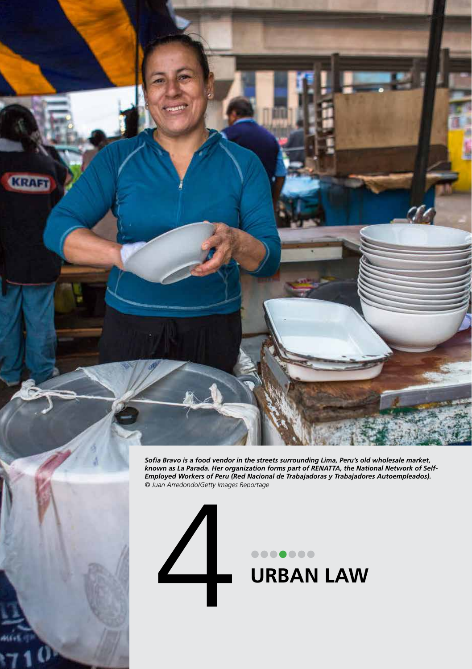*Sofía Bravo is a food vendor in the streets surrounding Lima, Peru's old wholesale market, known as La Parada. Her organization forms part of RENATTA, the National Network of Self-Employed Workers of Peru (Red Nacional de Trabajadoras y Trabajadores Autoempleados). © Juan Arredondo/Getty Images Reportage*



22 Enhancing Production Production Production Production Production Production Production Production Production Production Production Production Production Production Production Production Production Production Production

**KRAFT** 

**ALC** of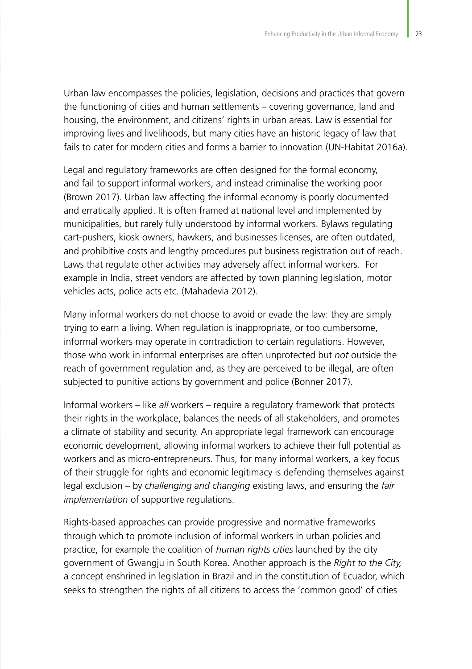Urban law encompasses the policies, legislation, decisions and practices that govern the functioning of cities and human settlements – covering governance, land and housing, the environment, and citizens' rights in urban areas. Law is essential for improving lives and livelihoods, but many cities have an historic legacy of law that fails to cater for modern cities and forms a barrier to innovation (UN-Habitat 2016a).

Legal and regulatory frameworks are often designed for the formal economy, and fail to support informal workers, and instead criminalise the working poor (Brown 2017). Urban law affecting the informal economy is poorly documented and erratically applied. It is often framed at national level and implemented by municipalities, but rarely fully understood by informal workers. Bylaws regulating cart-pushers, kiosk owners, hawkers, and businesses licenses, are often outdated, and prohibitive costs and lengthy procedures put business registration out of reach. Laws that regulate other activities may adversely affect informal workers. For example in India, street vendors are affected by town planning legislation, motor vehicles acts, police acts etc. (Mahadevia 2012).

Many informal workers do not choose to avoid or evade the law: they are simply trying to earn a living. When regulation is inappropriate, or too cumbersome, informal workers may operate in contradiction to certain regulations. However, those who work in informal enterprises are often unprotected but *not* outside the reach of government regulation and, as they are perceived to be illegal, are often subjected to punitive actions by government and police (Bonner 2017).

Informal workers – like *all* workers – require a regulatory framework that protects their rights in the workplace, balances the needs of all stakeholders, and promotes a climate of stability and security. An appropriate legal framework can encourage economic development, allowing informal workers to achieve their full potential as workers and as micro-entrepreneurs. Thus, for many informal workers, a key focus of their struggle for rights and economic legitimacy is defending themselves against legal exclusion – by *challenging and changing* existing laws, and ensuring the *fair implementation* of supportive regulations.

Rights-based approaches can provide progressive and normative frameworks through which to promote inclusion of informal workers in urban policies and practice, for example the coalition of *human rights cities* launched by the city government of Gwangju in South Korea. Another approach is the *Right to the City,*  a concept enshrined in legislation in Brazil and in the constitution of Ecuador, which seeks to strengthen the rights of all citizens to access the 'common good' of cities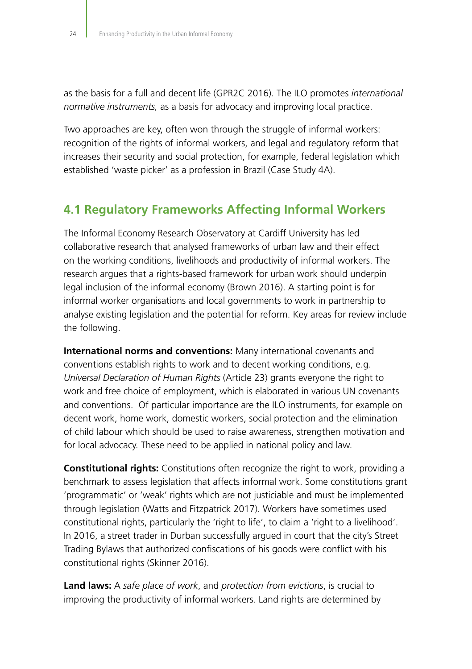as the basis for a full and decent life (GPR2C 2016). The ILO promotes *international normative instruments,* as a basis for advocacy and improving local practice.

Two approaches are key, often won through the struggle of informal workers: recognition of the rights of informal workers, and legal and regulatory reform that increases their security and social protection, for example, federal legislation which established 'waste picker' as a profession in Brazil (Case Study 4A).

### **4.1 Regulatory Frameworks Affecting Informal Workers**

The Informal Economy Research Observatory at Cardiff University has led collaborative research that analysed frameworks of urban law and their effect on the working conditions, livelihoods and productivity of informal workers. The research argues that a rights-based framework for urban work should underpin legal inclusion of the informal economy (Brown 2016). A starting point is for informal worker organisations and local governments to work in partnership to analyse existing legislation and the potential for reform. Key areas for review include the following.

**International norms and conventions:** Many international covenants and conventions establish rights to work and to decent working conditions, e.g. *Universal Declaration of Human Rights* (Article 23) grants everyone the right to work and free choice of employment, which is elaborated in various UN covenants and conventions. Of particular importance are the ILO instruments, for example on decent work, home work, domestic workers, social protection and the elimination of child labour which should be used to raise awareness, strengthen motivation and for local advocacy. These need to be applied in national policy and law.

**Constitutional rights:** Constitutions often recognize the right to work, providing a benchmark to assess legislation that affects informal work. Some constitutions grant 'programmatic' or 'weak' rights which are not justiciable and must be implemented through legislation (Watts and Fitzpatrick 2017). Workers have sometimes used constitutional rights, particularly the 'right to life', to claim a 'right to a livelihood'. In 2016, a street trader in Durban successfully argued in court that the city's Street Trading Bylaws that authorized confiscations of his goods were conflict with his constitutional rights (Skinner 2016).

**Land laws:** A *safe place of work*, and *protection from evictions*, is crucial to improving the productivity of informal workers. Land rights are determined by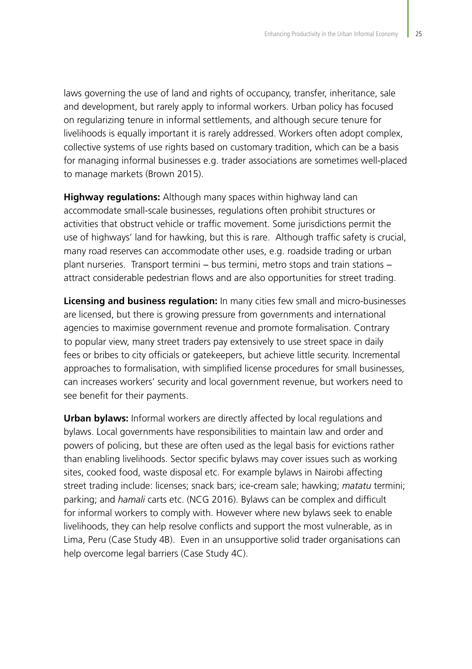laws governing the use of land and rights of occupancy, transfer, inheritance, sale and development, but rarely apply to informal workers. Urban policy has focused on regularizing tenure in informal settlements, and although secure tenure for livelihoods is equally important it is rarely addressed. Workers often adopt complex, collective systems of use rights based on customary tradition, which can be a basis for managing informal businesses e.g. trader associations are sometimes well-placed to manage markets (Brown 2015).

**Highway regulations:** Although many spaces within highway land can accommodate small-scale businesses, regulations often prohibit structures or activities that obstruct vehicle or traffic movement. Some jurisdictions permit the use of highways' land for hawking, but this is rare. Although traffic safety is crucial, many road reserves can accommodate other uses, e.g. roadside trading or urban plant nurseries. Transport termini − bus termini, metro stops and train stations − attract considerable pedestrian flows and are also opportunities for street trading.

**Licensing and business regulation:** In many cities few small and micro-businesses are licensed, but there is growing pressure from governments and international agencies to maximise government revenue and promote formalisation. Contrary to popular view, many street traders pay extensively to use street space in daily fees or bribes to city officials or gatekeepers, but achieve little security. Incremental approaches to formalisation, with simplified license procedures for small businesses, can increases workers' security and local government revenue, but workers need to see benefit for their payments.

**Urban bylaws:** Informal workers are directly affected by local regulations and bylaws. Local governments have responsibilities to maintain law and order and powers of policing, but these are often used as the legal basis for evictions rather than enabling livelihoods. Sector specific bylaws may cover issues such as working sites, cooked food, waste disposal etc. For example bylaws in Nairobi affecting street trading include: licenses; snack bars; ice-cream sale; hawking; *matatu* termini; parking; and *hamali* carts etc. (NCG 2016). Bylaws can be complex and difficult for informal workers to comply with. However where new bylaws seek to enable livelihoods, they can help resolve conflicts and support the most vulnerable, as in Lima, Peru (Case Study 4B). Even in an unsupportive solid trader organisations can help overcome legal barriers (Case Study 4C).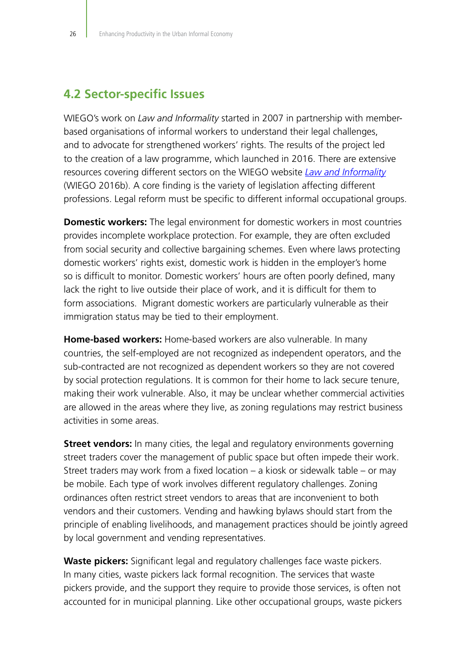### **4.2 Sector-specific Issues**

WIEGO's work on *Law and Informality* started in 2007 in partnership with memberbased organisations of informal workers to understand their legal challenges, and to advocate for strengthened workers' rights. The results of the project led to the creation of a law programme, which launched in 2016. There are extensive resources covering different sectors on the WIEGO website *Law and Informality* (WIEGO 2016b). A core finding is the variety of legislation affecting different professions. Legal reform must be specific to different informal occupational groups.

**Domestic workers:** The legal environment for domestic workers in most countries provides incomplete workplace protection. For example, they are often excluded from social security and collective bargaining schemes. Even where laws protecting domestic workers' rights exist, domestic work is hidden in the employer's home so is difficult to monitor. Domestic workers' hours are often poorly defined, many lack the right to live outside their place of work, and it is difficult for them to form associations. Migrant domestic workers are particularly vulnerable as their immigration status may be tied to their employment.

**Home-based workers:** Home-based workers are also vulnerable. In many countries, the self-employed are not recognized as independent operators, and the sub-contracted are not recognized as dependent workers so they are not covered by social protection regulations. It is common for their home to lack secure tenure, making their work vulnerable. Also, it may be unclear whether commercial activities are allowed in the areas where they live, as zoning regulations may restrict business activities in some areas.

**Street vendors:** In many cities, the legal and regulatory environments governing street traders cover the management of public space but often impede their work. Street traders may work from a fixed location – a kiosk or sidewalk table – or may be mobile. Each type of work involves different regulatory challenges. Zoning ordinances often restrict street vendors to areas that are inconvenient to both vendors and their customers. Vending and hawking bylaws should start from the principle of enabling livelihoods, and management practices should be jointly agreed by local government and vending representatives.

**Waste pickers:** Significant legal and regulatory challenges face waste pickers. In many cities, waste pickers lack formal recognition. The services that waste pickers provide, and the support they require to provide those services, is often not accounted for in municipal planning. Like other occupational groups, waste pickers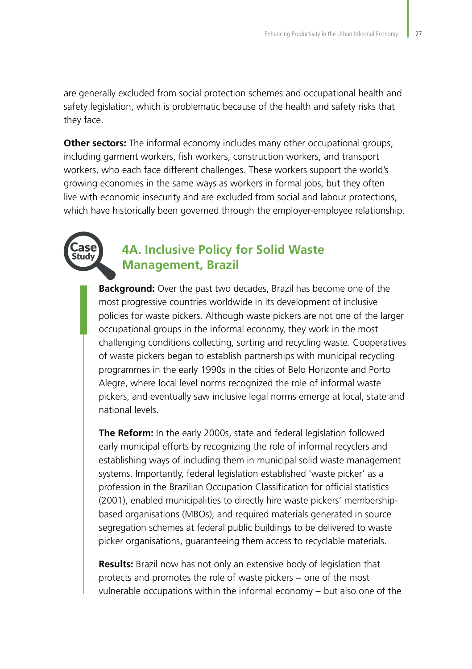are generally excluded from social protection schemes and occupational health and safety legislation, which is problematic because of the health and safety risks that they face.

**Other sectors:** The informal economy includes many other occupational groups, including garment workers, fish workers, construction workers, and transport workers, who each face different challenges. These workers support the world's growing economies in the same ways as workers in formal jobs, but they often live with economic insecurity and are excluded from social and labour protections, which have historically been governed through the employer-employee relationship.



### **4A. Inclusive Policy for Solid Waste Management, Brazil**

**Background:** Over the past two decades, Brazil has become one of the most progressive countries worldwide in its development of inclusive policies for waste pickers. Although waste pickers are not one of the larger occupational groups in the informal economy, they work in the most challenging conditions collecting, sorting and recycling waste. Cooperatives of waste pickers began to establish partnerships with municipal recycling programmes in the early 1990s in the cities of Belo Horizonte and Porto Alegre, where local level norms recognized the role of informal waste pickers, and eventually saw inclusive legal norms emerge at local, state and national levels.

**The Reform:** In the early 2000s, state and federal legislation followed early municipal efforts by recognizing the role of informal recyclers and establishing ways of including them in municipal solid waste management systems. Importantly, federal legislation established 'waste picker' as a profession in the Brazilian Occupation Classification for official statistics (2001), enabled municipalities to directly hire waste pickers' membershipbased organisations (MBOs), and required materials generated in source segregation schemes at federal public buildings to be delivered to waste picker organisations, guaranteeing them access to recyclable materials.

**Results:** Brazil now has not only an extensive body of legislation that protects and promotes the role of waste pickers − one of the most vulnerable occupations within the informal economy – but also one of the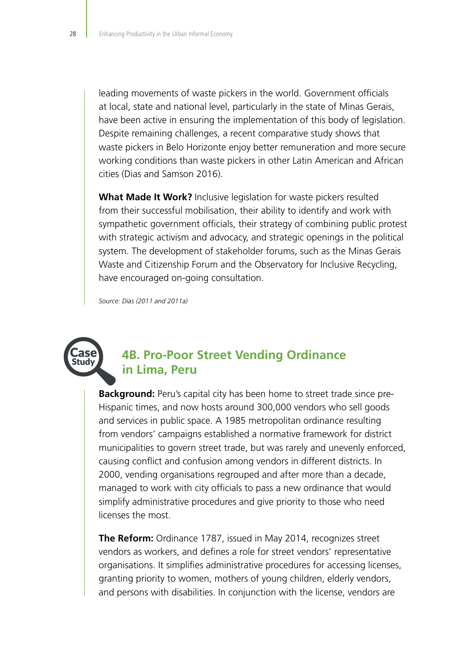leading movements of waste pickers in the world. Government officials at local, state and national level, particularly in the state of Minas Gerais, have been active in ensuring the implementation of this body of legislation. Despite remaining challenges, a recent comparative study shows that waste pickers in Belo Horizonte enjoy better remuneration and more secure working conditions than waste pickers in other Latin American and African cities (Dias and Samson 2016).

**What Made It Work?** Inclusive legislation for waste pickers resulted from their successful mobilisation, their ability to identify and work with sympathetic government officials, their strategy of combining public protest with strategic activism and advocacy, and strategic openings in the political system. The development of stakeholder forums, such as the Minas Gerais Waste and Citizenship Forum and the Observatory for Inclusive Recycling, have encouraged on-going consultation.

*Source: Dias (2011 and 2011a)*



### **4B. Pro-Poor Street Vending Ordinance in Lima, Peru**

**Background:** Peru's capital city has been home to street trade since pre-Hispanic times, and now hosts around 300,000 vendors who sell goods and services in public space. A 1985 metropolitan ordinance resulting from vendors' campaigns established a normative framework for district municipalities to govern street trade, but was rarely and unevenly enforced, causing conflict and confusion among vendors in different districts. In 2000, vending organisations regrouped and after more than a decade, managed to work with city officials to pass a new ordinance that would simplify administrative procedures and give priority to those who need licenses the most.

**The Reform:** Ordinance 1787, issued in May 2014, recognizes street vendors as workers, and defines a role for street vendors' representative organisations. It simplifies administrative procedures for accessing licenses, granting priority to women, mothers of young children, elderly vendors, and persons with disabilities. In conjunction with the license, vendors are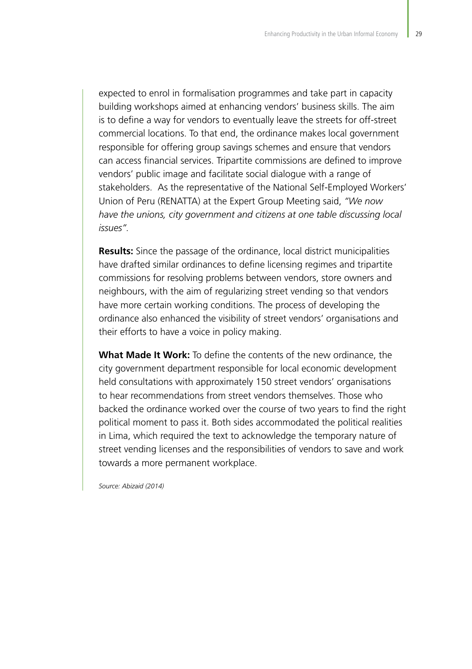expected to enrol in formalisation programmes and take part in capacity building workshops aimed at enhancing vendors' business skills. The aim is to define a way for vendors to eventually leave the streets for off-street commercial locations. To that end, the ordinance makes local government responsible for offering group savings schemes and ensure that vendors can access financial services. Tripartite commissions are defined to improve vendors' public image and facilitate social dialogue with a range of stakeholders. As the representative of the National Self-Employed Workers' Union of Peru (RENATTA) at the Expert Group Meeting said, *"We now have the unions, city government and citizens at one table discussing local issues".* 

**Results:** Since the passage of the ordinance, local district municipalities have drafted similar ordinances to define licensing regimes and tripartite commissions for resolving problems between vendors, store owners and neighbours, with the aim of regularizing street vending so that vendors have more certain working conditions. The process of developing the ordinance also enhanced the visibility of street vendors' organisations and their efforts to have a voice in policy making.

**What Made It Work:** To define the contents of the new ordinance, the city government department responsible for local economic development held consultations with approximately 150 street vendors' organisations to hear recommendations from street vendors themselves. Those who backed the ordinance worked over the course of two years to find the right political moment to pass it. Both sides accommodated the political realities in Lima, which required the text to acknowledge the temporary nature of street vending licenses and the responsibilities of vendors to save and work towards a more permanent workplace.

*Source: Abizaid (2014)*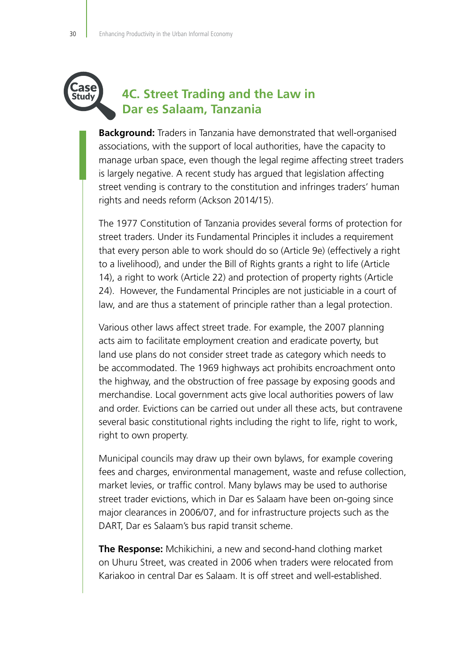### **4C. Street Trading and the Law in Dar es Salaam, Tanzania**

**Background:** Traders in Tanzania have demonstrated that well-organised associations, with the support of local authorities, have the capacity to manage urban space, even though the legal regime affecting street traders is largely negative. A recent study has argued that legislation affecting street vending is contrary to the constitution and infringes traders' human rights and needs reform (Ackson 2014/15).

The 1977 Constitution of Tanzania provides several forms of protection for street traders. Under its Fundamental Principles it includes a requirement that every person able to work should do so (Article 9e) (effectively a right to a livelihood), and under the Bill of Rights grants a right to life (Article 14), a right to work (Article 22) and protection of property rights (Article 24). However, the Fundamental Principles are not justiciable in a court of law, and are thus a statement of principle rather than a legal protection.

Various other laws affect street trade. For example, the 2007 planning acts aim to facilitate employment creation and eradicate poverty, but land use plans do not consider street trade as category which needs to be accommodated. The 1969 highways act prohibits encroachment onto the highway, and the obstruction of free passage by exposing goods and merchandise. Local government acts give local authorities powers of law and order. Evictions can be carried out under all these acts, but contravene several basic constitutional rights including the right to life, right to work, right to own property.

Municipal councils may draw up their own bylaws, for example covering fees and charges, environmental management, waste and refuse collection, market levies, or traffic control. Many bylaws may be used to authorise street trader evictions, which in Dar es Salaam have been on-going since major clearances in 2006/07, and for infrastructure projects such as the DART, Dar es Salaam's bus rapid transit scheme.

**The Response:** Mchikichini, a new and second-hand clothing market on Uhuru Street, was created in 2006 when traders were relocated from Kariakoo in central Dar es Salaam. It is off street and well-established.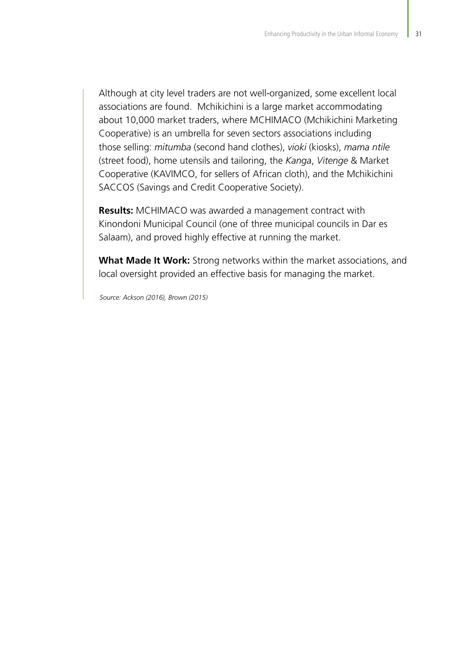Although at city level traders are not well-organized, some excellent local associations are found. Mchikichini is a large market accommodating about 10,000 market traders, where MCHIMACO (Mchikichini Marketing Cooperative) is an umbrella for seven sectors associations including those selling: *mitumba* (second hand clothes), *vioki* (kiosks), *mama ntile*  (street food), home utensils and tailoring, the *Kanga*, *Vitenge* & Market Cooperative (KAVIMCO, for sellers of African cloth), and the Mchikichini SACCOS (Savings and Credit Cooperative Society).

**Results:** MCHIMACO was awarded a management contract with Kinondoni Municipal Council (one of three municipal councils in Dar es Salaam), and proved highly effective at running the market.

**What Made It Work:** Strong networks within the market associations, and local oversight provided an effective basis for managing the market.

*Source: Ackson (2016), Brown (2015)*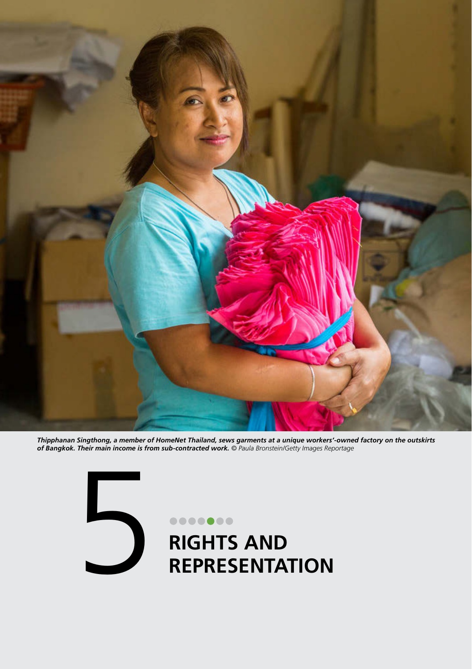

*Thipphanan Singthong, a member of HomeNet Thailand, sews garments at a unique workers'-owned factory on the outskirts of Bangkok. Their main income is from sub-contracted work. © Paula Bronstein/Getty Images Reportage*

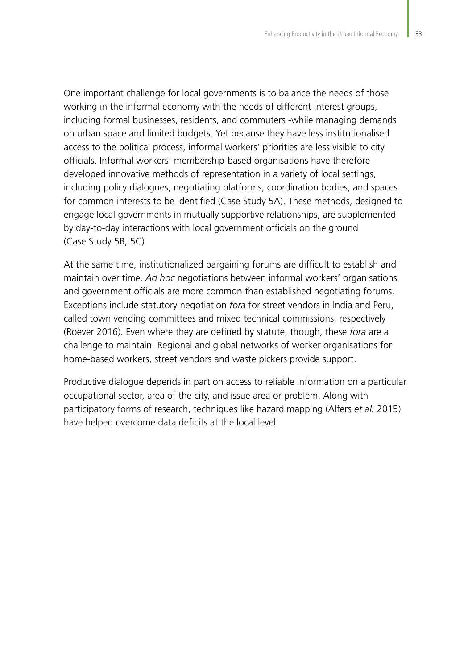One important challenge for local governments is to balance the needs of those working in the informal economy with the needs of different interest groups, including formal businesses, residents, and commuters -while managing demands on urban space and limited budgets. Yet because they have less institutionalised access to the political process, informal workers' priorities are less visible to city officials. Informal workers' membership-based organisations have therefore developed innovative methods of representation in a variety of local settings, including policy dialogues, negotiating platforms, coordination bodies, and spaces for common interests to be identified (Case Study 5A). These methods, designed to engage local governments in mutually supportive relationships, are supplemented by day-to-day interactions with local government officials on the ground (Case Study 5B, 5C).

At the same time, institutionalized bargaining forums are difficult to establish and maintain over time. *Ad hoc* negotiations between informal workers' organisations and government officials are more common than established negotiating forums. Exceptions include statutory negotiation *fora* for street vendors in India and Peru, called town vending committees and mixed technical commissions, respectively (Roever 2016). Even where they are defined by statute, though, these *fora* are a challenge to maintain. Regional and global networks of worker organisations for home-based workers, street vendors and waste pickers provide support.

Productive dialogue depends in part on access to reliable information on a particular occupational sector, area of the city, and issue area or problem. Along with participatory forms of research, techniques like hazard mapping (Alfers *et al.* 2015) have helped overcome data deficits at the local level.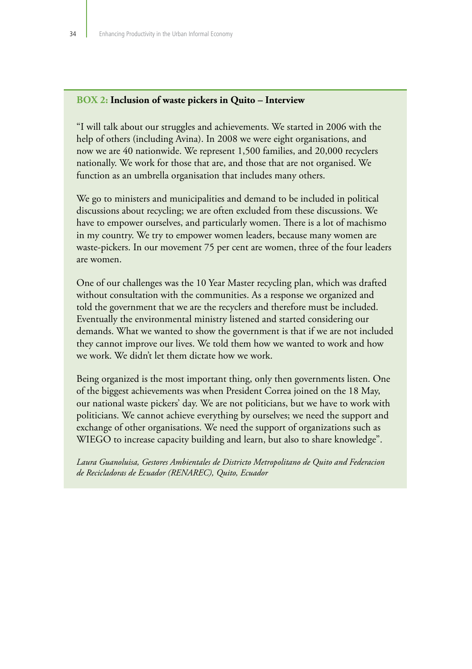### **BOX 2: Inclusion of waste pickers in Quito – Interview**

"I will talk about our struggles and achievements. We started in 2006 with the help of others (including Avina). In 2008 we were eight organisations, and now we are 40 nationwide. We represent 1,500 families, and 20,000 recyclers nationally. We work for those that are, and those that are not organised. We function as an umbrella organisation that includes many others.

We go to ministers and municipalities and demand to be included in political discussions about recycling; we are often excluded from these discussions. We have to empower ourselves, and particularly women. There is a lot of machismo in my country. We try to empower women leaders, because many women are waste-pickers. In our movement 75 per cent are women, three of the four leaders are women.

One of our challenges was the 10 Year Master recycling plan, which was drafted without consultation with the communities. As a response we organized and told the government that we are the recyclers and therefore must be included. Eventually the environmental ministry listened and started considering our demands. What we wanted to show the government is that if we are not included they cannot improve our lives. We told them how we wanted to work and how we work. We didn't let them dictate how we work.

Being organized is the most important thing, only then governments listen. One of the biggest achievements was when President Correa joined on the 18 May, our national waste pickers' day. We are not politicians, but we have to work with politicians. We cannot achieve everything by ourselves; we need the support and exchange of other organisations. We need the support of organizations such as WIEGO to increase capacity building and learn, but also to share knowledge".

*Laura Guanoluisa, Gestores Ambientales de Districto Metropolitano de Quito and Federacion de Recicladoras de Ecuador (RENAREC), Quito, Ecuador*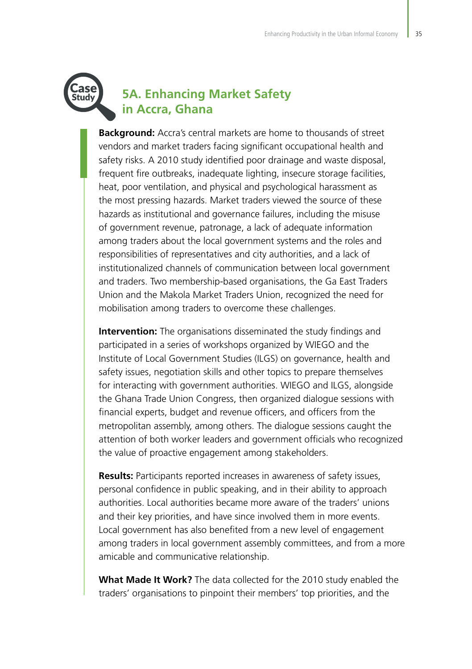### **5A. Enhancing Market Safety in Accra, Ghana**

**Background:** Accra's central markets are home to thousands of street vendors and market traders facing significant occupational health and safety risks. A 2010 study identified poor drainage and waste disposal, frequent fire outbreaks, inadequate lighting, insecure storage facilities, heat, poor ventilation, and physical and psychological harassment as the most pressing hazards. Market traders viewed the source of these hazards as institutional and governance failures, including the misuse of government revenue, patronage, a lack of adequate information among traders about the local government systems and the roles and responsibilities of representatives and city authorities, and a lack of institutionalized channels of communication between local government and traders. Two membership-based organisations, the Ga East Traders Union and the Makola Market Traders Union, recognized the need for mobilisation among traders to overcome these challenges.

**Intervention:** The organisations disseminated the study findings and participated in a series of workshops organized by WIEGO and the Institute of Local Government Studies (ILGS) on governance, health and safety issues, negotiation skills and other topics to prepare themselves for interacting with government authorities. WIEGO and ILGS, alongside the Ghana Trade Union Congress, then organized dialogue sessions with financial experts, budget and revenue officers, and officers from the metropolitan assembly, among others. The dialogue sessions caught the attention of both worker leaders and government officials who recognized the value of proactive engagement among stakeholders.

**Results:** Participants reported increases in awareness of safety issues, personal confidence in public speaking, and in their ability to approach authorities. Local authorities became more aware of the traders' unions and their key priorities, and have since involved them in more events. Local government has also benefited from a new level of engagement among traders in local government assembly committees, and from a more amicable and communicative relationship.

**What Made It Work?** The data collected for the 2010 study enabled the traders' organisations to pinpoint their members' top priorities, and the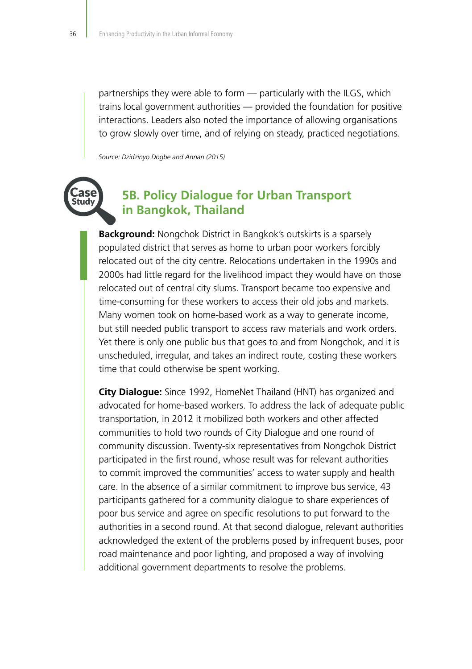partnerships they were able to form — particularly with the ILGS, which trains local government authorities — provided the foundation for positive interactions. Leaders also noted the importance of allowing organisations to grow slowly over time, and of relying on steady, practiced negotiations.

*Source: Dzidzinyo Dogbe and Annan (2015)*

### **5B. Policy Dialogue for Urban Transport in Bangkok, Thailand**

**Background:** Nongchok District in Bangkok's outskirts is a sparsely populated district that serves as home to urban poor workers forcibly relocated out of the city centre. Relocations undertaken in the 1990s and 2000s had little regard for the livelihood impact they would have on those relocated out of central city slums. Transport became too expensive and time-consuming for these workers to access their old jobs and markets. Many women took on home-based work as a way to generate income, but still needed public transport to access raw materials and work orders. Yet there is only one public bus that goes to and from Nongchok, and it is unscheduled, irregular, and takes an indirect route, costing these workers time that could otherwise be spent working.

**City Dialogue:** Since 1992, HomeNet Thailand (HNT) has organized and advocated for home-based workers. To address the lack of adequate public transportation, in 2012 it mobilized both workers and other affected communities to hold two rounds of City Dialogue and one round of community discussion. Twenty-six representatives from Nongchok District participated in the first round, whose result was for relevant authorities to commit improved the communities' access to water supply and health care. In the absence of a similar commitment to improve bus service, 43 participants gathered for a community dialogue to share experiences of poor bus service and agree on specific resolutions to put forward to the authorities in a second round. At that second dialogue, relevant authorities acknowledged the extent of the problems posed by infrequent buses, poor road maintenance and poor lighting, and proposed a way of involving additional government departments to resolve the problems.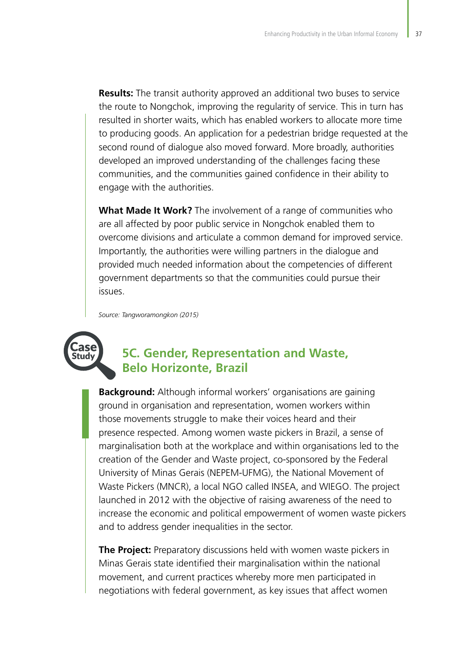**Results:** The transit authority approved an additional two buses to service the route to Nongchok, improving the regularity of service. This in turn has resulted in shorter waits, which has enabled workers to allocate more time to producing goods. An application for a pedestrian bridge requested at the second round of dialogue also moved forward. More broadly, authorities developed an improved understanding of the challenges facing these communities, and the communities gained confidence in their ability to engage with the authorities.

**What Made It Work?** The involvement of a range of communities who are all affected by poor public service in Nongchok enabled them to overcome divisions and articulate a common demand for improved service. Importantly, the authorities were willing partners in the dialogue and provided much needed information about the competencies of different government departments so that the communities could pursue their issues.

*Source: Tangworamongkon (2015)*



### **5C. Gender, Representation and Waste, Belo Horizonte, Brazil**

**Background:** Although informal workers' organisations are gaining ground in organisation and representation, women workers within those movements struggle to make their voices heard and their presence respected. Among women waste pickers in Brazil, a sense of marginalisation both at the workplace and within organisations led to the creation of the Gender and Waste project, co-sponsored by the Federal University of Minas Gerais (NEPEM-UFMG), the National Movement of Waste Pickers (MNCR), a local NGO called INSEA, and WIEGO. The project launched in 2012 with the objective of raising awareness of the need to increase the economic and political empowerment of women waste pickers and to address gender inequalities in the sector.

**The Project:** Preparatory discussions held with women waste pickers in Minas Gerais state identified their marginalisation within the national movement, and current practices whereby more men participated in negotiations with federal government, as key issues that affect women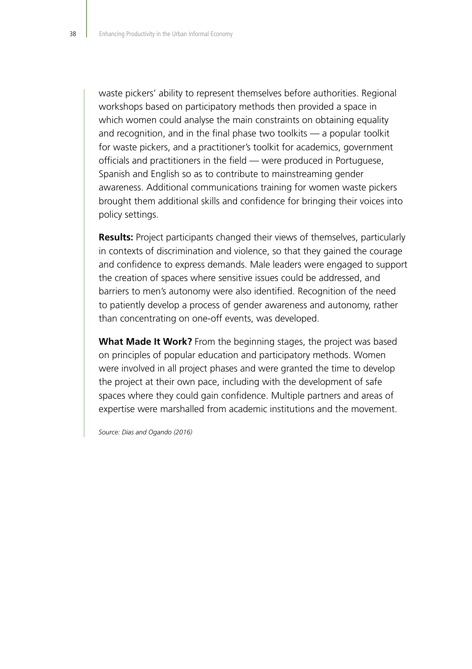waste pickers' ability to represent themselves before authorities. Regional workshops based on participatory methods then provided a space in which women could analyse the main constraints on obtaining equality and recognition, and in the final phase two toolkits — a popular toolkit for waste pickers, and a practitioner's toolkit for academics, government officials and practitioners in the field — were produced in Portuguese, Spanish and English so as to contribute to mainstreaming gender awareness. Additional communications training for women waste pickers brought them additional skills and confidence for bringing their voices into policy settings.

**Results:** Project participants changed their views of themselves, particularly in contexts of discrimination and violence, so that they gained the courage and confidence to express demands. Male leaders were engaged to support the creation of spaces where sensitive issues could be addressed, and barriers to men's autonomy were also identified. Recognition of the need to patiently develop a process of gender awareness and autonomy, rather than concentrating on one-off events, was developed.

**What Made It Work?** From the beginning stages, the project was based on principles of popular education and participatory methods. Women were involved in all project phases and were granted the time to develop the project at their own pace, including with the development of safe spaces where they could gain confidence. Multiple partners and areas of expertise were marshalled from academic institutions and the movement.

*Source: Dias and Ogando (2016)*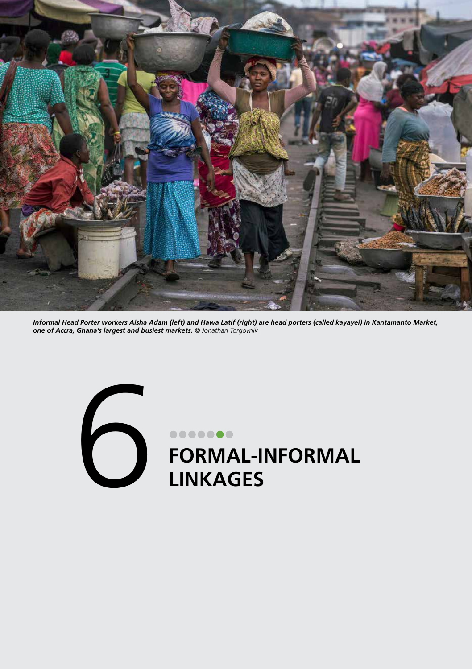

Informal Head Porter workers Aisha Adam (left) and Hawa Latif (right) are head porters (called kayayei) in Kantamanto Market,<br>one of Accra, Ghana's largest and busiest markets. © Jonathan Torgovnik

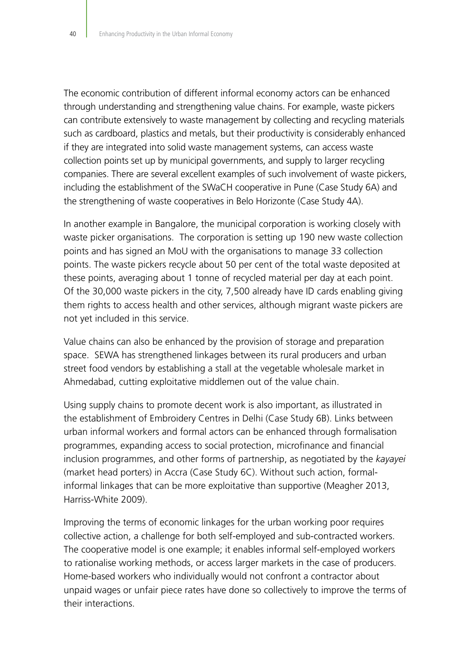The economic contribution of different informal economy actors can be enhanced through understanding and strengthening value chains. For example, waste pickers can contribute extensively to waste management by collecting and recycling materials such as cardboard, plastics and metals, but their productivity is considerably enhanced if they are integrated into solid waste management systems, can access waste collection points set up by municipal governments, and supply to larger recycling companies. There are several excellent examples of such involvement of waste pickers, including the establishment of the SWaCH cooperative in Pune (Case Study 6A) and the strengthening of waste cooperatives in Belo Horizonte (Case Study 4A).

In another example in Bangalore, the municipal corporation is working closely with waste picker organisations. The corporation is setting up 190 new waste collection points and has signed an MoU with the organisations to manage 33 collection points. The waste pickers recycle about 50 per cent of the total waste deposited at these points, averaging about 1 tonne of recycled material per day at each point. Of the 30,000 waste pickers in the city, 7,500 already have ID cards enabling giving them rights to access health and other services, although migrant waste pickers are not yet included in this service.

Value chains can also be enhanced by the provision of storage and preparation space. SEWA has strengthened linkages between its rural producers and urban street food vendors by establishing a stall at the vegetable wholesale market in Ahmedabad, cutting exploitative middlemen out of the value chain.

Using supply chains to promote decent work is also important, as illustrated in the establishment of Embroidery Centres in Delhi (Case Study 6B). Links between urban informal workers and formal actors can be enhanced through formalisation programmes, expanding access to social protection, microfinance and financial inclusion programmes, and other forms of partnership, as negotiated by the *kayayei*  (market head porters) in Accra (Case Study 6C). Without such action, formalinformal linkages that can be more exploitative than supportive (Meagher 2013, Harriss-White 2009).

Improving the terms of economic linkages for the urban working poor requires collective action, a challenge for both self-employed and sub-contracted workers. The cooperative model is one example; it enables informal self-employed workers to rationalise working methods, or access larger markets in the case of producers. Home-based workers who individually would not confront a contractor about unpaid wages or unfair piece rates have done so collectively to improve the terms of their interactions.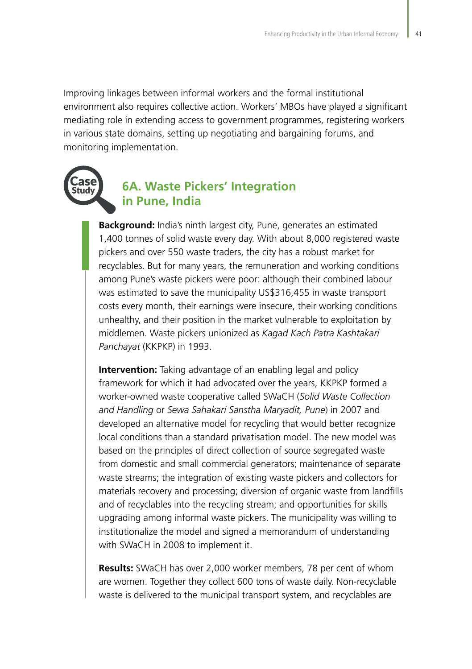Improving linkages between informal workers and the formal institutional environment also requires collective action. Workers' MBOs have played a significant mediating role in extending access to government programmes, registering workers in various state domains, setting up negotiating and bargaining forums, and monitoring implementation.



### **6A. Waste Pickers' Integration in Pune, India**

**Background:** India's ninth largest city, Pune, generates an estimated 1,400 tonnes of solid waste every day. With about 8,000 registered waste pickers and over 550 waste traders, the city has a robust market for recyclables. But for many years, the remuneration and working conditions among Pune's waste pickers were poor: although their combined labour was estimated to save the municipality US\$316,455 in waste transport costs every month, their earnings were insecure, their working conditions unhealthy, and their position in the market vulnerable to exploitation by middlemen. Waste pickers unionized as *Kagad Kach Patra Kashtakari Panchayat* (KKPKP) in 1993.

**Intervention:** Taking advantage of an enabling legal and policy framework for which it had advocated over the years, KKPKP formed a worker-owned waste cooperative called SWaCH (*Solid Waste Collection and Handling* or *Sewa Sahakari Sanstha Maryadit, Pune*) in 2007 and developed an alternative model for recycling that would better recognize local conditions than a standard privatisation model. The new model was based on the principles of direct collection of source segregated waste from domestic and small commercial generators; maintenance of separate waste streams; the integration of existing waste pickers and collectors for materials recovery and processing; diversion of organic waste from landfills and of recyclables into the recycling stream; and opportunities for skills upgrading among informal waste pickers. The municipality was willing to institutionalize the model and signed a memorandum of understanding with SWaCH in 2008 to implement it.

**Results:** SWaCH has over 2,000 worker members, 78 per cent of whom are women. Together they collect 600 tons of waste daily. Non-recyclable waste is delivered to the municipal transport system, and recyclables are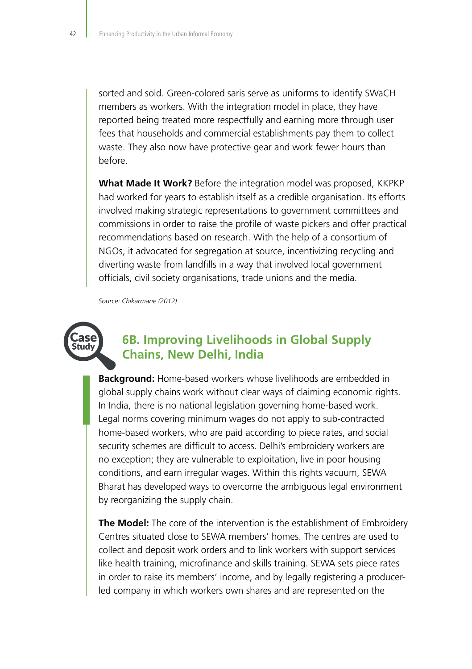sorted and sold. Green-colored saris serve as uniforms to identify SWaCH members as workers. With the integration model in place, they have reported being treated more respectfully and earning more through user fees that households and commercial establishments pay them to collect waste. They also now have protective gear and work fewer hours than before.

**What Made It Work?** Before the integration model was proposed, KKPKP had worked for years to establish itself as a credible organisation. Its efforts involved making strategic representations to government committees and commissions in order to raise the profile of waste pickers and offer practical recommendations based on research. With the help of a consortium of NGOs, it advocated for segregation at source, incentivizing recycling and diverting waste from landfills in a way that involved local government officials, civil society organisations, trade unions and the media.

*Source: Chikarmane (2012)*



### **6B. Improving Livelihoods in Global Supply Chains, New Delhi, India**

**Background:** Home-based workers whose livelihoods are embedded in global supply chains work without clear ways of claiming economic rights. In India, there is no national legislation governing home-based work. Legal norms covering minimum wages do not apply to sub-contracted home-based workers, who are paid according to piece rates, and social security schemes are difficult to access. Delhi's embroidery workers are no exception; they are vulnerable to exploitation, live in poor housing conditions, and earn irregular wages. Within this rights vacuum, SEWA Bharat has developed ways to overcome the ambiguous legal environment by reorganizing the supply chain.

**The Model:** The core of the intervention is the establishment of Embroidery Centres situated close to SEWA members' homes. The centres are used to collect and deposit work orders and to link workers with support services like health training, microfinance and skills training. SEWA sets piece rates in order to raise its members' income, and by legally registering a producerled company in which workers own shares and are represented on the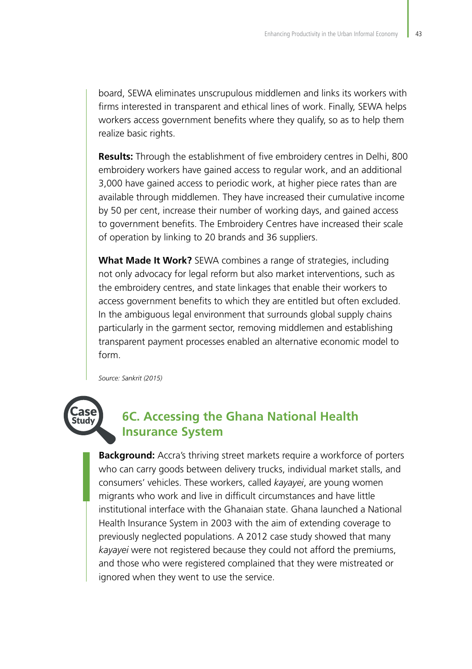board, SEWA eliminates unscrupulous middlemen and links its workers with firms interested in transparent and ethical lines of work. Finally, SEWA helps workers access government benefits where they qualify, so as to help them realize basic rights.

**Results:** Through the establishment of five embroidery centres in Delhi, 800 embroidery workers have gained access to regular work, and an additional 3,000 have gained access to periodic work, at higher piece rates than are available through middlemen. They have increased their cumulative income by 50 per cent, increase their number of working days, and gained access to government benefits. The Embroidery Centres have increased their scale of operation by linking to 20 brands and 36 suppliers.

**What Made It Work?** SEWA combines a range of strategies, including not only advocacy for legal reform but also market interventions, such as the embroidery centres, and state linkages that enable their workers to access government benefits to which they are entitled but often excluded. In the ambiguous legal environment that surrounds global supply chains particularly in the garment sector, removing middlemen and establishing transparent payment processes enabled an alternative economic model to form.

*Source: Sankrit (2015)*



### **6C. Accessing the Ghana National Health Insurance System**

**Background:** Accra's thriving street markets require a workforce of porters who can carry goods between delivery trucks, individual market stalls, and consumers' vehicles. These workers, called *kayayei*, are young women migrants who work and live in difficult circumstances and have little institutional interface with the Ghanaian state. Ghana launched a National Health Insurance System in 2003 with the aim of extending coverage to previously neglected populations. A 2012 case study showed that many *kayayei* were not registered because they could not afford the premiums, and those who were registered complained that they were mistreated or ignored when they went to use the service.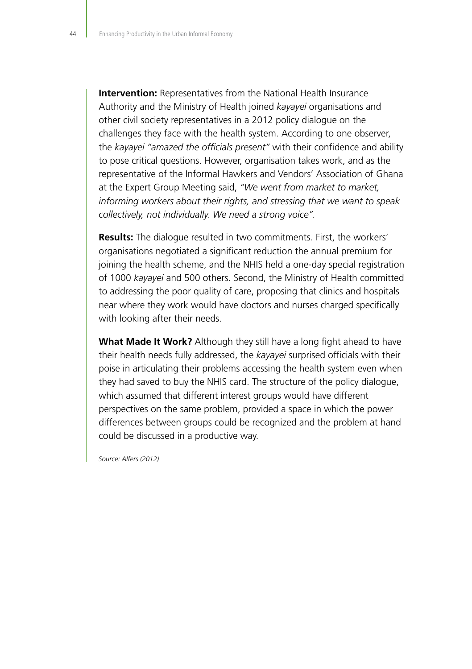**Intervention:** Representatives from the National Health Insurance Authority and the Ministry of Health joined *kayayei* organisations and other civil society representatives in a 2012 policy dialogue on the challenges they face with the health system. According to one observer, the *kayayei "amazed the officials present"* with their confidence and ability to pose critical questions. However, organisation takes work, and as the representative of the Informal Hawkers and Vendors' Association of Ghana at the Expert Group Meeting said, *"We went from market to market, informing workers about their rights, and stressing that we want to speak collectively, not individually. We need a strong voice".*

**Results:** The dialogue resulted in two commitments. First, the workers' organisations negotiated a significant reduction the annual premium for joining the health scheme, and the NHIS held a one-day special registration of 1000 *kayayei* and 500 others. Second, the Ministry of Health committed to addressing the poor quality of care, proposing that clinics and hospitals near where they work would have doctors and nurses charged specifically with looking after their needs.

**What Made It Work?** Although they still have a long fight ahead to have their health needs fully addressed, the *kayayei* surprised officials with their poise in articulating their problems accessing the health system even when they had saved to buy the NHIS card. The structure of the policy dialogue, which assumed that different interest groups would have different perspectives on the same problem, provided a space in which the power differences between groups could be recognized and the problem at hand could be discussed in a productive way.

*Source: Alfers (2012)*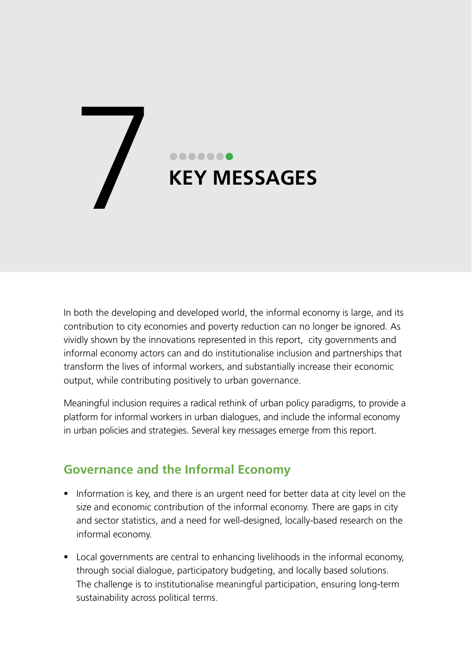## 7 **KEY MESSAGES**

In both the developing and developed world, the informal economy is large, and its contribution to city economies and poverty reduction can no longer be ignored. As vividly shown by the innovations represented in this report, city governments and informal economy actors can and do institutionalise inclusion and partnerships that transform the lives of informal workers, and substantially increase their economic output, while contributing positively to urban governance.

Meaningful inclusion requires a radical rethink of urban policy paradigms, to provide a platform for informal workers in urban dialogues, and include the informal economy in urban policies and strategies. Several key messages emerge from this report.

### **Governance and the Informal Economy**

- Information is key, and there is an urgent need for better data at city level on the size and economic contribution of the informal economy. There are gaps in city and sector statistics, and a need for well-designed, locally-based research on the informal economy.
- Local governments are central to enhancing livelihoods in the informal economy, through social dialogue, participatory budgeting, and locally based solutions. The challenge is to institutionalise meaningful participation, ensuring long-term sustainability across political terms.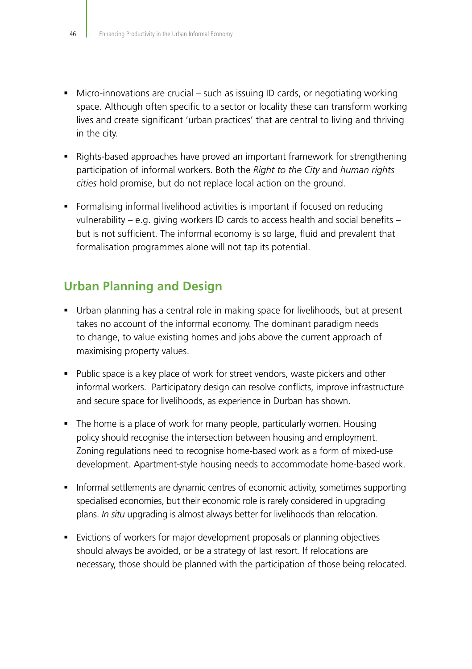- § Micro-innovations are crucial such as issuing ID cards, or negotiating working space. Although often specific to a sector or locality these can transform working lives and create significant 'urban practices' that are central to living and thriving in the city.
- § Rights-based approaches have proved an important framework for strengthening participation of informal workers. Both the *Right to the City* and *human rights cities* hold promise, but do not replace local action on the ground.
- § Formalising informal livelihood activities is important if focused on reducing vulnerability – e.g. giving workers ID cards to access health and social benefits – but is not sufficient. The informal economy is so large, fluid and prevalent that formalisation programmes alone will not tap its potential.

### **Urban Planning and Design**

- § Urban planning has a central role in making space for livelihoods, but at present takes no account of the informal economy. The dominant paradigm needs to change, to value existing homes and jobs above the current approach of maximising property values.
- Public space is a key place of work for street vendors, waste pickers and other informal workers. Participatory design can resolve conflicts, improve infrastructure and secure space for livelihoods, as experience in Durban has shown.
- The home is a place of work for many people, particularly women. Housing policy should recognise the intersection between housing and employment. Zoning regulations need to recognise home-based work as a form of mixed-use development. Apartment-style housing needs to accommodate home-based work.
- § Informal settlements are dynamic centres of economic activity, sometimes supporting specialised economies, but their economic role is rarely considered in upgrading plans. *In situ* upgrading is almost always better for livelihoods than relocation.
- Evictions of workers for major development proposals or planning objectives should always be avoided, or be a strategy of last resort. If relocations are necessary, those should be planned with the participation of those being relocated.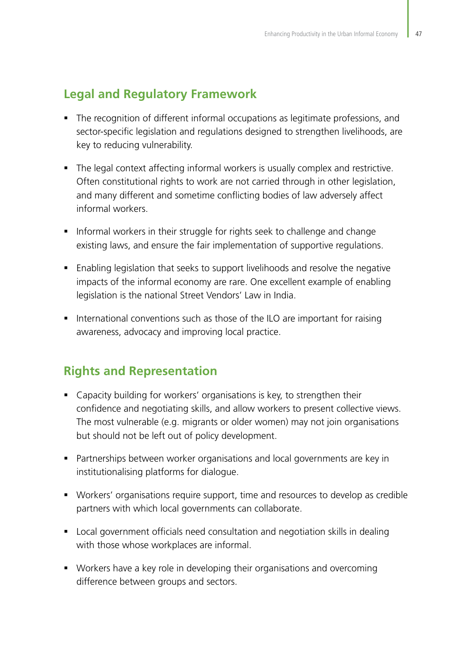### **Legal and Regulatory Framework**

- § The recognition of different informal occupations as legitimate professions, and sector-specific legislation and regulations designed to strengthen livelihoods, are key to reducing vulnerability.
- § The legal context affecting informal workers is usually complex and restrictive. Often constitutional rights to work are not carried through in other legislation, and many different and sometime conflicting bodies of law adversely affect informal workers.
- § Informal workers in their struggle for rights seek to challenge and change existing laws, and ensure the fair implementation of supportive regulations.
- Enabling legislation that seeks to support livelihoods and resolve the negative impacts of the informal economy are rare. One excellent example of enabling legislation is the national Street Vendors' Law in India.
- International conventions such as those of the ILO are important for raising awareness, advocacy and improving local practice.

### **Rights and Representation**

- Capacity building for workers' organisations is key, to strengthen their confidence and negotiating skills, and allow workers to present collective views. The most vulnerable (e.g. migrants or older women) may not join organisations but should not be left out of policy development.
- Partnerships between worker organisations and local governments are key in institutionalising platforms for dialogue.
- § Workers' organisations require support, time and resources to develop as credible partners with which local governments can collaborate.
- Local government officials need consultation and negotiation skills in dealing with those whose workplaces are informal.
- Workers have a key role in developing their organisations and overcoming difference between groups and sectors.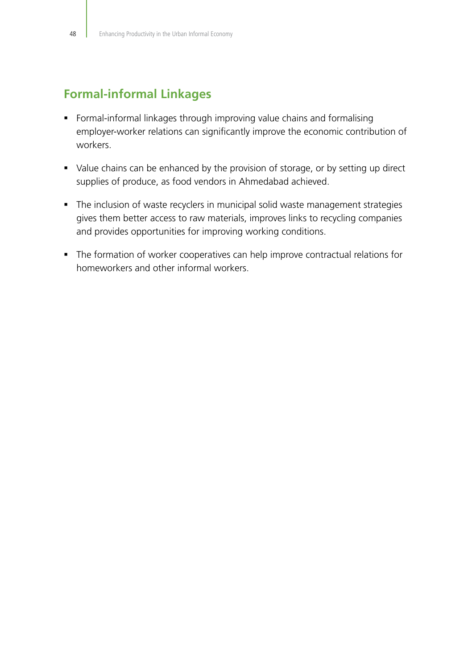### **Formal-informal Linkages**

- § Formal-informal linkages through improving value chains and formalising employer-worker relations can significantly improve the economic contribution of workers.
- Value chains can be enhanced by the provision of storage, or by setting up direct supplies of produce, as food vendors in Ahmedabad achieved.
- The inclusion of waste recyclers in municipal solid waste management strategies gives them better access to raw materials, improves links to recycling companies and provides opportunities for improving working conditions.
- § The formation of worker cooperatives can help improve contractual relations for homeworkers and other informal workers.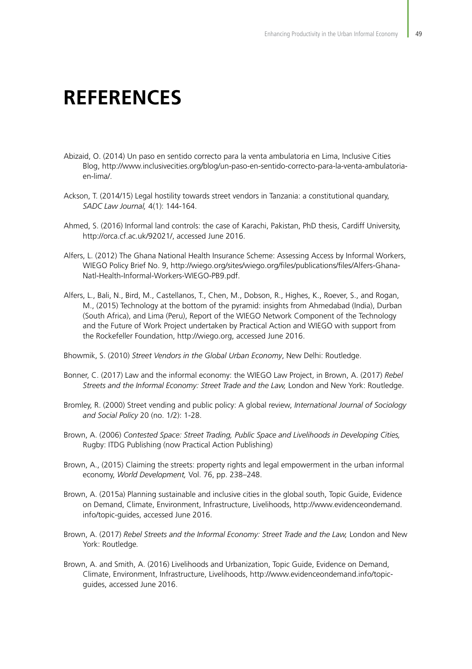### **REFERENCES**

- Abizaid, O. (2014) Un paso en sentido correcto para la venta ambulatoria en Lima, Inclusive Cities Blog, http://www.inclusivecities.org/blog/un-paso-en-sentido-correcto-para-la-venta-ambulatoriaen-lima/.
- Ackson, T. (2014/15) Legal hostility towards street vendors in Tanzania: a constitutional quandary, *SADC Law Journal,* 4(1): 144-164.
- Ahmed, S. (2016) Informal land controls: the case of Karachi, Pakistan, PhD thesis, Cardiff University, http://orca.cf.ac.uk/92021/, accessed June 2016.
- Alfers, L. (2012) The Ghana National Health Insurance Scheme: Assessing Access by Informal Workers, WIEGO Policy Brief No. 9, http://wiego.org/sites/wiego.org/files/publications/files/Alfers-Ghana-Natl-Health-Informal-Workers-WIEGO-PB9.pdf.
- Alfers, L., Bali, N., Bird, M., Castellanos, T., Chen, M., Dobson, R., Highes, K., Roever, S., and Rogan, M., (2015) Technology at the bottom of the pyramid: insights from Ahmedabad (India), Durban (South Africa), and Lima (Peru), Report of the WIEGO Network Component of the Technology and the Future of Work Project undertaken by Practical Action and WIEGO with support from the Rockefeller Foundation, http://wiego.org, accessed June 2016.

Bhowmik, S. (2010) *Street Vendors in the Global Urban Economy*, New Delhi: Routledge.

- Bonner, C. (2017) Law and the informal economy: the WIEGO Law Project, in Brown, A. (2017) *Rebel Streets and the Informal Economy: Street Trade and the Law,* London and New York: Routledge.
- Bromley, R. (2000) Street vending and public policy: A global review, *International Journal of Sociology and Social Policy* 20 (no. 1/2): 1-28.
- Brown, A. (2006) *Contested Space: Street Trading, Public Space and Livelihoods in Developing Cities,*  Rugby: ITDG Publishing (now Practical Action Publishing)
- Brown, A., (2015) Claiming the streets: property rights and legal empowerment in the urban informal economy, *World Development,* Vol. 76, pp. 238–248.
- Brown, A. (2015a) Planning sustainable and inclusive cities in the global south, Topic Guide, Evidence on Demand, Climate, Environment, Infrastructure, Livelihoods, http://www.evidenceondemand. info/topic-guides, accessed June 2016.
- Brown, A. (2017) *Rebel Streets and the Informal Economy: Street Trade and the Law,* London and New York: Routledge*.*
- Brown, A. and Smith, A. (2016) Livelihoods and Urbanization, Topic Guide, Evidence on Demand, Climate, Environment, Infrastructure, Livelihoods, http://www.evidenceondemand.info/topicguides, accessed June 2016.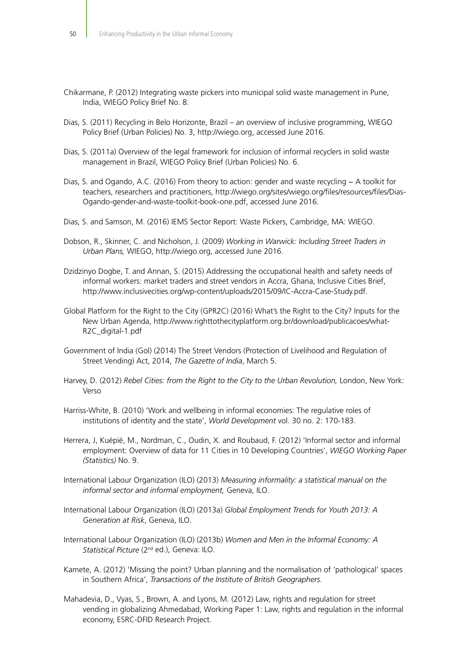- Chikarmane, P. (2012) Integrating waste pickers into municipal solid waste management in Pune, India, WIEGO Policy Brief No. 8.
- Dias, S. (2011) Recycling in Belo Horizonte, Brazil an overview of inclusive programming, WIEGO Policy Brief (Urban Policies) No. 3, http://wiego.org, accessed June 2016.
- Dias, S. (2011a) Overview of the legal framework for inclusion of informal recyclers in solid waste management in Brazil, WIEGO Policy Brief (Urban Policies) No. 6.
- Dias, S. and Ogando, A.C. (2016) From theory to action: gender and waste recycling − A toolkit for teachers, researchers and practitioners, http://wiego.org/sites/wiego.org/files/resources/files/Dias-Ogando-gender-and-waste-toolkit-book-one.pdf, accessed June 2016.
- Dias, S. and Samson, M. (2016) IEMS Sector Report: Waste Pickers, Cambridge, MA: WIEGO.
- Dobson, R., Skinner, C. and Nicholson, J. (2009) *Working in Warwick: Including Street Traders in Urban Plans,* WIEGO, http://wiego.org, accessed June 2016.
- Dzidzinyo Dogbe, T. and Annan, S. (2015) Addressing the occupational health and safety needs of informal workers: market traders and street vendors in Accra, Ghana, Inclusive Cities Brief, http://www.inclusivecities.org/wp-content/uploads/2015/09/IC-Accra-Case-Study.pdf.
- Global Platform for the Right to the City (GPR2C) (2016) What's the Right to the City? Inputs for the New Urban Agenda, http://www.righttothecityplatform.org.br/download/publicacoes/what-R2C\_digital-1.pdf
- Government of India (GoI) (2014) The Street Vendors (Protection of Livelihood and Regulation of Street Vending) Act, 2014, *The Gazette of India*, March 5.
- Harvey, D. (2012) *Rebel Cities: from the Right to the City to the Urban Revolution*, London, New York: Verso
- Harriss-White, B. (2010) 'Work and wellbeing in informal economies: The regulative roles of institutions of identity and the state', *World Development* vol. 30 no. 2: 170-183.
- Herrera, J, Kuépié, M., Nordman, C., Oudin, X. and Roubaud, F. (2012) 'Informal sector and informal employment: Overview of data for 11 Cities in 10 Developing Countries', *WIEGO Working Paper (Statistics)* No. 9.
- International Labour Organization (ILO) (2013) *Measuring informality: a statistical manual on the informal sector and informal employment,* Geneva, ILO.
- International Labour Organization (ILO) (2013a) *Global Employment Trends for Youth 2013: A Generation at Risk*, Geneva, ILO.
- International Labour Organization (ILO) (2013b) *Women and Men in the Informal Economy: A Statistical Picture* (2nd ed.), Geneva: ILO.
- Kamete, A. (2012) 'Missing the point? Urban planning and the normalisation of 'pathological' spaces in Southern Africa', *Transactions of the Institute of British Geographers.*
- Mahadevia, D., Vyas, S., Brown, A. and Lyons, M. (2012) Law, rights and regulation for street vending in globalizing Ahmedabad, Working Paper 1: Law, rights and regulation in the informal economy, ESRC-DFID Research Project.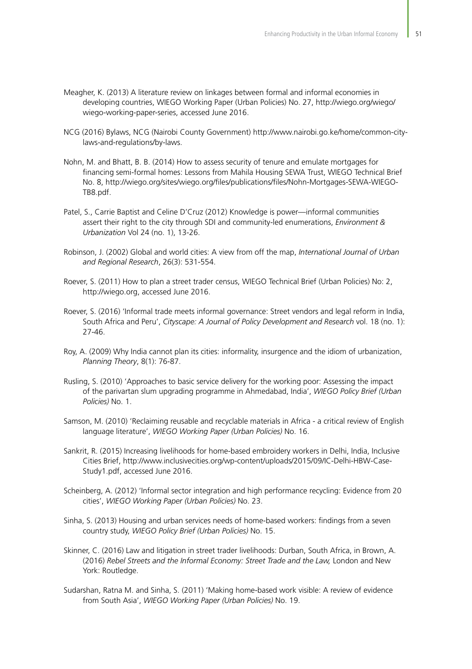- Meagher, K. (2013) A literature review on linkages between formal and informal economies in developing countries, WIEGO Working Paper (Urban Policies) No. 27, http://wiego.org/wiego/ wiego-working-paper-series, accessed June 2016.
- NCG (2016) Bylaws, NCG (Nairobi County Government) http://www.nairobi.go.ke/home/common-citylaws-and-regulations/by-laws.
- Nohn, M. and Bhatt, B. B. (2014) How to assess security of tenure and emulate mortgages for financing semi-formal homes: Lessons from Mahila Housing SEWA Trust, WIEGO Technical Brief No. 8, http://wiego.org/sites/wiego.org/files/publications/files/Nohn-Mortgages-SEWA-WIEGO-TB8.pdf.
- Patel, S., Carrie Baptist and Celine D'Cruz (2012) Knowledge is power—informal communities assert their right to the city through SDI and community-led enumerations, *Environment & Urbanization* Vol 24 (no. 1), 13-26.
- Robinson, J. (2002) Global and world cities: A view from off the map, *International Journal of Urban and Regional Research*, 26(3): 531-554.
- Roever, S. (2011) How to plan a street trader census, WIEGO Technical Brief (Urban Policies) No: 2, http://wiego.org, accessed June 2016.
- Roever, S. (2016) 'Informal trade meets informal governance: Street vendors and legal reform in India, South Africa and Peru', *Cityscape: A Journal of Policy Development and Research* vol. 18 (no. 1): 27-46.
- Roy, A. (2009) Why India cannot plan its cities: informality, insurgence and the idiom of urbanization, *Planning Theory*, 8(1): 76-87.
- Rusling, S. (2010) 'Approaches to basic service delivery for the working poor: Assessing the impact of the parivartan slum upgrading programme in Ahmedabad, India', *WIEGO Policy Brief (Urban Policies)* No. 1.
- Samson, M. (2010) 'Reclaiming reusable and recyclable materials in Africa a critical review of English language literature', *WIEGO Working Paper (Urban Policies)* No. 16.
- Sankrit, R. (2015) Increasing livelihoods for home-based embroidery workers in Delhi, India, Inclusive Cities Brief, http://www.inclusivecities.org/wp-content/uploads/2015/09/IC-Delhi-HBW-Case-Study1.pdf, accessed June 2016.
- Scheinberg, A. (2012) 'Informal sector integration and high performance recycling: Evidence from 20 cities', *WIEGO Working Paper (Urban Policies)* No. 23.
- Sinha, S. (2013) Housing and urban services needs of home-based workers: findings from a seven country study, *WIEGO Policy Brief (Urban Policies)* No. 15.
- Skinner, C. (2016) Law and litigation in street trader livelihoods: Durban, South Africa, in Brown, A. (2016) *Rebel Streets and the Informal Economy: Street Trade and the Law,* London and New York: Routledge.
- Sudarshan, Ratna M. and Sinha, S. (2011) 'Making home-based work visible: A review of evidence from South Asia', *WIEGO Working Paper (Urban Policies)* No. 19.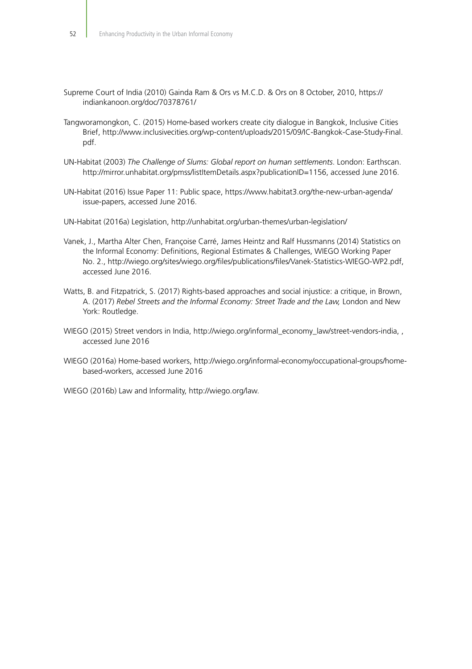- Supreme Court of India (2010) Gainda Ram & Ors vs M.C.D. & Ors on 8 October, 2010, https:// indiankanoon.org/doc/70378761/
- Tangworamongkon, C. (2015) Home-based workers create city dialogue in Bangkok, Inclusive Cities Brief, http://www.inclusivecities.org/wp-content/uploads/2015/09/IC-Bangkok-Case-Study-Final. pdf.
- UN-Habitat (2003) *The Challenge of Slums: Global report on human settlements*. London: Earthscan. http://mirror.unhabitat.org/pmss/listItemDetails.aspx?publicationID=1156, accessed June 2016.
- UN-Habitat (2016) Issue Paper 11: Public space, https://www.habitat3.org/the-new-urban-agenda/ issue-papers, accessed June 2016.
- UN-Habitat (2016a) Legislation, http://unhabitat.org/urban-themes/urban-legislation/
- Vanek, J., Martha Alter Chen, Françoise Carré, James Heintz and Ralf Hussmanns (2014) Statistics on the Informal Economy: Definitions, Regional Estimates & Challenges, WIEGO Working Paper No. 2., http://wiego.org/sites/wiego.org/files/publications/files/Vanek-Statistics-WIEGO-WP2.pdf, accessed June 2016.
- Watts, B. and Fitzpatrick, S. (2017) Rights-based approaches and social injustice: a critique, in Brown, A. (2017) *Rebel Streets and the Informal Economy: Street Trade and the Law, London and New* York: Routledge.
- WIEGO (2015) Street vendors in India, http://wiego.org/informal\_economy\_law/street-vendors-india, , accessed June 2016
- WIEGO (2016a) Home-based workers, http://wiego.org/informal-economy/occupational-groups/homebased-workers, accessed June 2016
- WIEGO (2016b) Law and Informality, http://wiego.org/law.